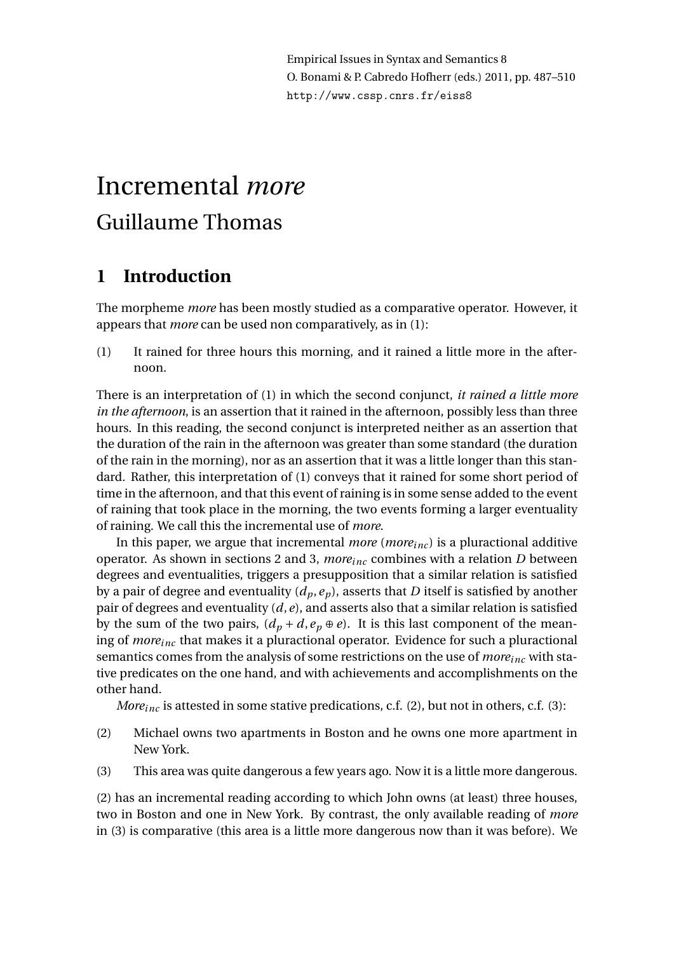Empirical Issues in Syntax and Semantics 8 O. Bonami & P. Cabredo Hofherr (eds.) 2011, pp. 487–510 http://www.cssp.cnrs.fr/eiss8

# Incremental *more* Guillaume Thomas

# **1 Introduction**

The morpheme *more* has been mostly studied as a comparative operator. However, it appears that *more* can be used non comparatively, as in (1):

(1) It rained for three hours this morning, and it rained a little more in the afternoon.

There is an interpretation of (1) in which the second conjunct, *it rained a little more in the afternoon*, is an assertion that it rained in the afternoon, possibly less than three hours. In this reading, the second conjunct is interpreted neither as an assertion that the duration of the rain in the afternoon was greater than some standard (the duration of the rain in the morning), nor as an assertion that it was a little longer than this standard. Rather, this interpretation of (1) conveys that it rained for some short period of time in the afternoon, and that this event of raining is in some sense added to the event of raining that took place in the morning, the two events forming a larger eventuality of raining. We call this the incremental use of *more*.

In this paper, we argue that incremental *more* (*moreinc* ) is a pluractional additive operator. As shown in sections 2 and 3, *moreinc* combines with a relation *D* between degrees and eventualities, triggers a presupposition that a similar relation is satisfied by a pair of degree and eventuality  $(d_p, e_p)$ , asserts that *D* itself is satisfied by another pair of degrees and eventuality (*d*,*e*), and asserts also that a similar relation is satisfied by the sum of the two pairs,  $(d_p + d, e_p \oplus e)$ . It is this last component of the meaning of *moreinc* that makes it a pluractional operator. Evidence for such a pluractional semantics comes from the analysis of some restrictions on the use of *moreinc* with stative predicates on the one hand, and with achievements and accomplishments on the other hand.

*Moreinc* is attested in some stative predications, c.f. (2), but not in others, c.f. (3):

- (2) Michael owns two apartments in Boston and he owns one more apartment in New York.
- (3) This area was quite dangerous a few years ago. Now it is a little more dangerous.

(2) has an incremental reading according to which John owns (at least) three houses, two in Boston and one in New York. By contrast, the only available reading of *more* in (3) is comparative (this area is a little more dangerous now than it was before). We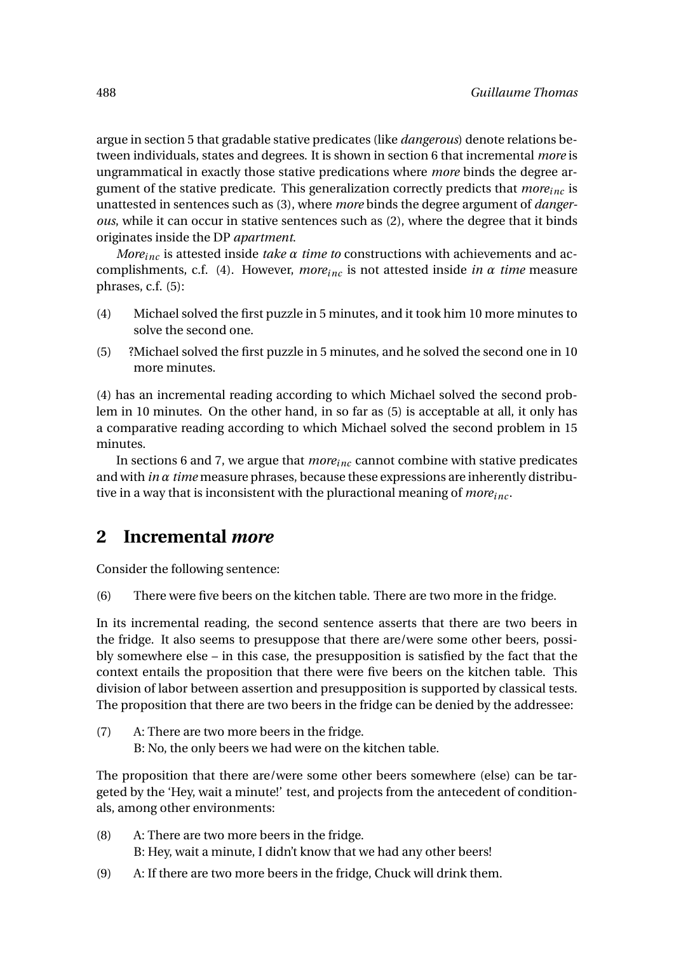argue in section 5 that gradable stative predicates (like *dangerous*) denote relations between individuals, states and degrees. It is shown in section 6 that incremental *more* is ungrammatical in exactly those stative predications where *more* binds the degree argument of the stative predicate. This generalization correctly predicts that *moreinc* is unattested in sentences such as (3), where *more* binds the degree argument of *dangerous*, while it can occur in stative sentences such as (2), where the degree that it binds originates inside the DP *apartment*.

*Moreinc* is attested inside *take α time to* constructions with achievements and accomplishments, c.f. (4). However, *moreinc* is not attested inside *in α time* measure phrases, c.f. (5):

- (4) Michael solved the first puzzle in 5 minutes, and it took him 10 more minutes to solve the second one.
- (5) ?Michael solved the first puzzle in 5 minutes, and he solved the second one in 10 more minutes.

(4) has an incremental reading according to which Michael solved the second problem in 10 minutes. On the other hand, in so far as (5) is acceptable at all, it only has a comparative reading according to which Michael solved the second problem in 15 minutes.

In sections 6 and 7, we argue that *moreinc* cannot combine with stative predicates and with *in α time* measure phrases, because these expressions are inherently distributive in a way that is inconsistent with the pluractional meaning of *moreinc* .

## **2 Incremental** *more*

Consider the following sentence:

(6) There were five beers on the kitchen table. There are two more in the fridge.

In its incremental reading, the second sentence asserts that there are two beers in the fridge. It also seems to presuppose that there are/were some other beers, possibly somewhere else – in this case, the presupposition is satisfied by the fact that the context entails the proposition that there were five beers on the kitchen table. This division of labor between assertion and presupposition is supported by classical tests. The proposition that there are two beers in the fridge can be denied by the addressee:

(7) A: There are two more beers in the fridge. B: No, the only beers we had were on the kitchen table.

The proposition that there are/were some other beers somewhere (else) can be targeted by the 'Hey, wait a minute!' test, and projects from the antecedent of conditionals, among other environments:

- (8) A: There are two more beers in the fridge. B: Hey, wait a minute, I didn't know that we had any other beers!
- (9) A: If there are two more beers in the fridge, Chuck will drink them.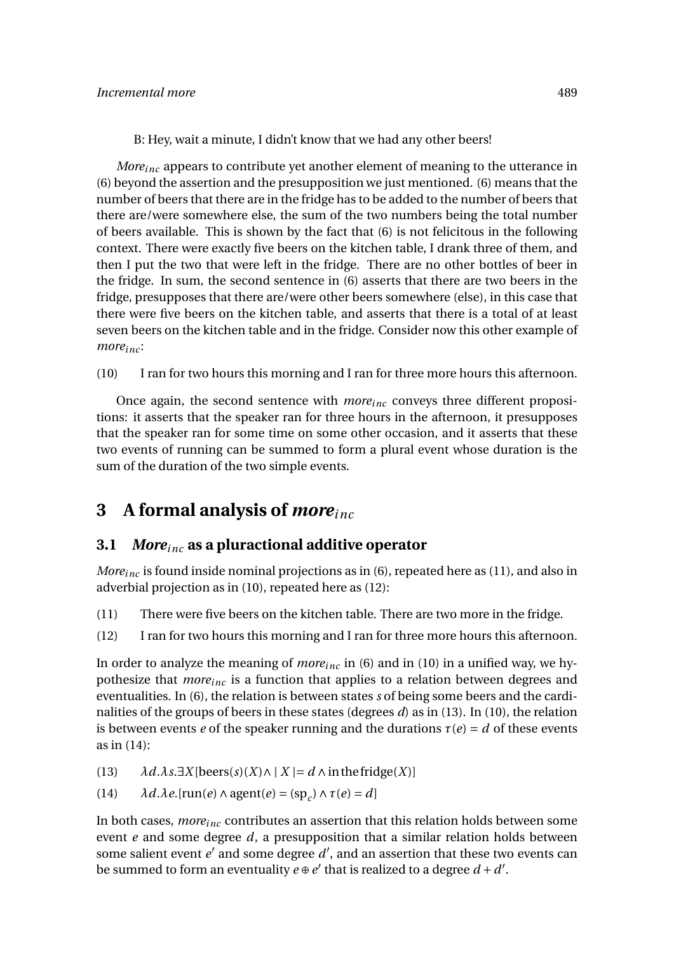B: Hey, wait a minute, I didn't know that we had any other beers!

*Moreinc* appears to contribute yet another element of meaning to the utterance in (6) beyond the assertion and the presupposition we just mentioned. (6) means that the number of beers that there are in the fridge has to be added to the number of beers that there are/were somewhere else, the sum of the two numbers being the total number of beers available. This is shown by the fact that (6) is not felicitous in the following context. There were exactly five beers on the kitchen table, I drank three of them, and then I put the two that were left in the fridge. There are no other bottles of beer in the fridge. In sum, the second sentence in (6) asserts that there are two beers in the fridge, presupposes that there are/were other beers somewhere (else), in this case that there were five beers on the kitchen table, and asserts that there is a total of at least seven beers on the kitchen table and in the fridge. Consider now this other example of *moreinc* :

(10) I ran for two hours this morning and I ran for three more hours this afternoon.

Once again, the second sentence with *moreinc* conveys three different propositions: it asserts that the speaker ran for three hours in the afternoon, it presupposes that the speaker ran for some time on some other occasion, and it asserts that these two events of running can be summed to form a plural event whose duration is the sum of the duration of the two simple events.

# **3 A formal analysis of** *moreinc*

### **3.1** *Moreinc* **as a pluractional additive operator**

*Moreinc* is found inside nominal projections as in (6), repeated here as (11), and also in adverbial projection as in (10), repeated here as (12):

- (11) There were five beers on the kitchen table. There are two more in the fridge.
- (12) I ran for two hours this morning and I ran for three more hours this afternoon.

In order to analyze the meaning of *moreinc* in (6) and in (10) in a unified way, we hypothesize that *moreinc* is a function that applies to a relation between degrees and eventualities. In (6), the relation is between states *s* of being some beers and the cardinalities of the groups of beers in these states (degrees *d*) as in (13). In (10), the relation is between events *e* of the speaker running and the durations  $\tau(e) = d$  of these events as in (14):

- (13)  $\lambda d.\lambda s. \exists X[\text{beers}(s)(X) \wedge | X| = d \wedge \text{in the fridge}(X)]$
- (14)  $\lambda d.\lambda e$ .[run(*e*)  $\wedge$  agent(*e*) = (sp<sub>*c*</sub>)  $\wedge$   $\tau$ (*e*) = *d*]

In both cases, *moreinc* contributes an assertion that this relation holds between some event *e* and some degree *d*, a presupposition that a similar relation holds between some salient event  $e'$  and some degree  $d'$ , and an assertion that these two events can be summed to form an eventuality  $e \oplus e'$  that is realized to a degree  $d + d'$ .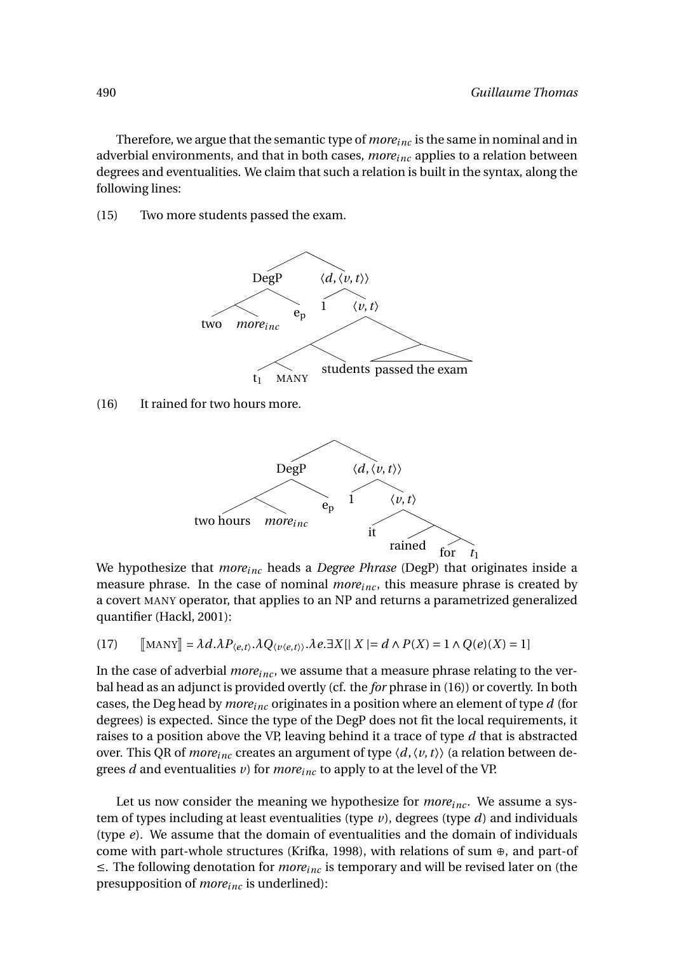Therefore, we argue that the semantic type of *moreinc* is the same in nominal and in adverbial environments, and that in both cases, *moreinc* applies to a relation between degrees and eventualities. We claim that such a relation is built in the syntax, along the following lines:

(15) Two more students passed the exam.



(16) It rained for two hours more.



We hypothesize that *moreinc* heads a *Degree Phrase* (DegP) that originates inside a measure phrase. In the case of nominal *moreinc* , this measure phrase is created by a covert MANY operator, that applies to an NP and returns a parametrized generalized quantifier (Hackl, 2001):

(17) 
$$
\llbracket \text{MANY} \rrbracket = \lambda d. \lambda P_{\langle e,t \rangle}. \lambda Q_{\langle v \langle e,t \rangle}. \lambda e. \exists X [\mid X \mid = d \land P(X) = 1 \land Q(e)(X) = 1]
$$

In the case of adverbial *more*<sub>inc</sub>, we assume that a measure phrase relating to the verbal head as an adjunct is provided overtly (cf. the *for* phrase in (16)) or covertly. In both cases, the Deg head by *moreinc* originates in a position where an element of type *d* (for degrees) is expected. Since the type of the DegP does not fit the local requirements, it raises to a position above the VP, leaving behind it a trace of type *d* that is abstracted over. This QR of *moreinc* creates an argument of type 〈*d*,〈*v*,*t*〉〉 (a relation between degrees *d* and eventualities *v*) for *moreinc* to apply to at the level of the VP.

Let us now consider the meaning we hypothesize for  $more_{inc}$ . We assume a system of types including at least eventualities (type *v*), degrees (type *d*) and individuals (type *e*). We assume that the domain of eventualities and the domain of individuals come with part-whole structures (Krifka, 1998), with relations of sum ⊕, and part-of ≤. The following denotation for *moreinc* is temporary and will be revised later on (the presupposition of *moreinc* is underlined):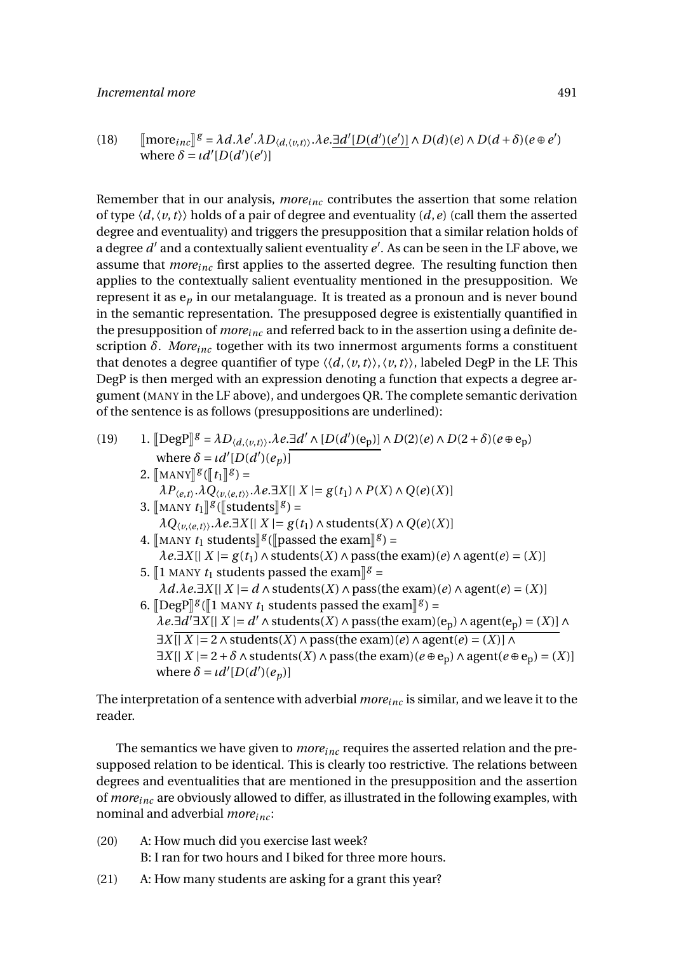#### *Incremental more* 491

(18) 
$$
\text{[more]} \mathcal{E} = \lambda d \cdot \lambda e' \cdot \lambda D_{\langle d, \langle v, t \rangle \rangle} \cdot \lambda e \cdot \frac{\exists d' [D(d')(e')]}{\lambda D(d)(e) \land D(d + \delta)(e \oplus e')}
$$
  
where  $\delta = \iota d'[D(d')(e')]$ 

Remember that in our analysis, *moreinc* contributes the assertion that some relation of type  $\langle d, \langle v, t \rangle \rangle$  holds of a pair of degree and eventuality  $(d, e)$  (call them the asserted degree and eventuality) and triggers the presupposition that a similar relation holds of a degree  $d'$  and a contextually salient eventuality  $e'$ . As can be seen in the LF above, we assume that *moreinc* first applies to the asserted degree. The resulting function then applies to the contextually salient eventuality mentioned in the presupposition. We represent it as e*<sup>p</sup>* in our metalanguage. It is treated as a pronoun and is never bound in the semantic representation. The presupposed degree is existentially quantified in the presupposition of *moreinc* and referred back to in the assertion using a definite description *δ*. *Moreinc* together with its two innermost arguments forms a constituent that denotes a degree quantifier of type  $\langle \langle d, \langle v, t \rangle \rangle, \langle v, t \rangle \rangle$ , labeled DegP in the LF. This DegP is then merged with an expression denoting a function that expects a degree argument (MANY in the LF above), and undergoes QR. The complete semantic derivation of the sentence is as follows (presuppositions are underlined):

\n- \n (19) \n 
$$
1. \left[ \text{DegP} \right]^{g} = \lambda D_{\langle d, \langle v, t \rangle \rangle}. \lambda e. \exists d' \land [D(d')(e_p)] \land D(2)(e) \land D(2 + \delta)(e \oplus e_p)
$$
\n where  $\delta = \iota d'[D(d')(e_p)]$ \n
\n- \n 2. \n 
$$
\left[ \text{MANY} \right]^{g} \left( \left[ t_1 \right]^{g} \right] = \lambda P_{\langle e, t \rangle}. \lambda Q_{\langle v, \langle e, t \rangle \rangle}. \lambda e. \exists X \mid \mid X \mid = g(t_1) \land P(X) \land Q(e)(X) \right]
$$
\n
\n- \n 3. \n 
$$
\left[ \text{MANY } t_1 \right]^{g} \left( \left[ \text{students} \right]^{g} \right) = \lambda Q_{\langle v, \langle e, t \rangle \rangle}. \lambda e. \exists X \mid \mid X \mid = g(t_1) \land \text{students}(X) \land Q(e)(X) \right]
$$
\n
\n- \n 4. \n 
$$
\left[ \text{MANY } t_1 \text{ students} \right]^{g} \left( \left[ \text{passed the exam} \right]^{g} \right) = \lambda e. \exists X \mid \mid X \mid = g(t_1) \land \text{students}(X) \land \text{pass(the exam})(e) \land \text{agent}(e) = (X) \right]
$$
\n
\n- \n 5. \n 
$$
\left[ \text{1 MANY } t_1 \text{ students passed the exam} \right]^{g} = \lambda d. \lambda e. \exists X \mid \mid X \mid = d \land \text{students}(X) \land \text{pass(the exam})(e) \land \text{agent}(e) = (X) \right]
$$
\n
\n- \n 6. \n 
$$
\left[ \text{DegP} \right]^{g} \left( \left[ \text{1 MANY } t_1 \text{ students passed the exam} \right]^{g} \right) = \lambda e. \exists d' \exists X \mid \mid X \mid = d' \land \text{students}(X) \land \text{pass(the exam})(e_p) \land \text{agent}(e_p) = (X) \right] \land \exists X \mid \mid X \mid = 2 \land \text{students}(X) \land \text{pass(the exam})(e \oplus e_p) \land \
$$

The interpretation of a sentence with adverbial *moreinc* is similar, and we leave it to the reader.

The semantics we have given to *moreinc* requires the asserted relation and the presupposed relation to be identical. This is clearly too restrictive. The relations between degrees and eventualities that are mentioned in the presupposition and the assertion of *moreinc* are obviously allowed to differ, as illustrated in the following examples, with nominal and adverbial *moreinc* :

- (20) A: How much did you exercise last week? B: I ran for two hours and I biked for three more hours.
- (21) A: How many students are asking for a grant this year?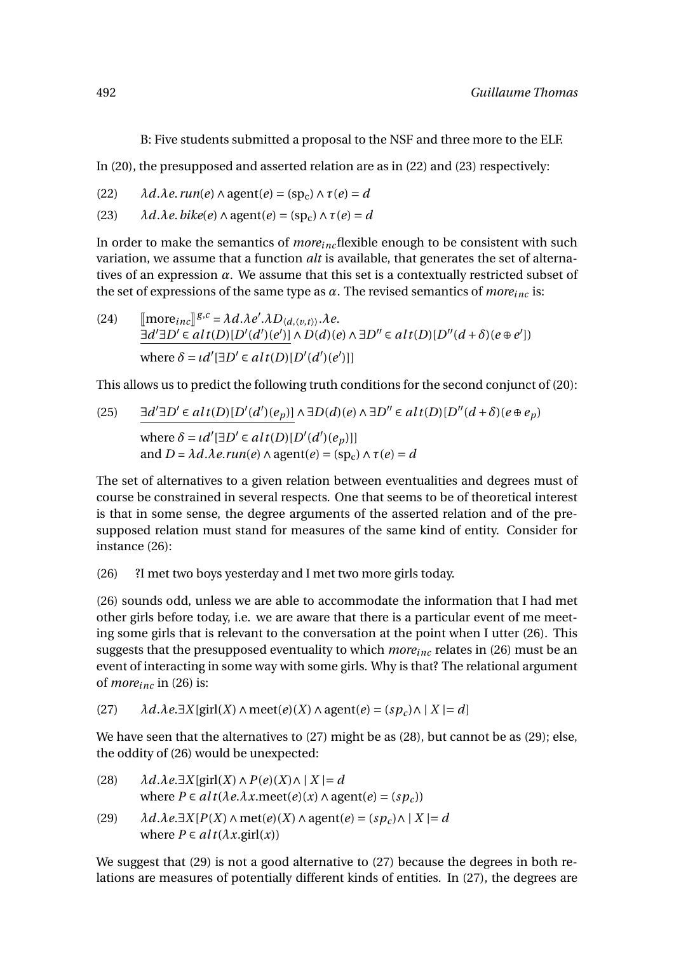B: Five students submitted a proposal to the NSF and three more to the ELF.

In (20), the presupposed and asserted relation are as in (22) and (23) respectively:

(22)  $\lambda d.\lambda e.\text{run}(e) \wedge \text{agent}(e) = (\text{sp}_c) \wedge \tau(e) = d$ 

(23)  $\lambda d.\lambda e. \text{bike}(e) \wedge \text{agent}(e) = (\text{sp}_c) \wedge \tau(e) = d$ 

In order to make the semantics of *moreinc*flexible enough to be consistent with such variation, we assume that a function *alt* is available, that generates the set of alternatives of an expression *α*. We assume that this set is a contextually restricted subset of the set of expressions of the same type as  $\alpha$ . The revised semantics of *more*<sub>inc</sub> is:

(24)  $\left[\text{more}_{inc}\right]^{g,c} = \lambda d.\lambda e'.\lambda D_{\langle d, \langle v, t \rangle \rangle}.\lambda e.$ <br> $\left[\text{and so}(\text{and so}(\text{and so}(\text{and so}(\text{and so}(\text{and so}(\text{and so}(\text{and so}(\text{and so}(\text{and so}(\text{and so}(\text{and so}(\text{and so}(\text{and so}(\text{and so}(\text{and so}(\text{and so}(\text{and so}(\text{and so}(\text{and so}(\text{and so}(\text{and so}(\text{and so}(\text{and so}(\text{and so}(\text{and so}(\text{and so}(\text{$  $\exists d' \exists D' \in alt(D)[D'(d')(e')] \land D(d)(e) \land \exists D'' \in alt(D)[D''(d+\delta)(e \oplus e'])$ where  $\delta = \iota d'[\exists D' \in alt(D)[D'(d')(e')]]$ 

This allows us to predict the following truth conditions for the second conjunct of (20):

(25) 
$$
\exists d' \exists D' \in alt(D)[D'(d')(e_p)] \land \exists D(d)(e) \land \exists D'' \in alt(D)[D''(d+\delta)(e \oplus e_p)]
$$
  
where  $\delta = \iota d'[\exists D' \in alt(D)[D'(d')(e_p)]]$   
and  $D = \lambda d.\lambda e.\nrun(e) \land agent(e) = (sp_c) \land \tau(e) = d$ 

The set of alternatives to a given relation between eventualities and degrees must of course be constrained in several respects. One that seems to be of theoretical interest is that in some sense, the degree arguments of the asserted relation and of the presupposed relation must stand for measures of the same kind of entity. Consider for instance (26):

(26) ?I met two boys yesterday and I met two more girls today.

(26) sounds odd, unless we are able to accommodate the information that I had met other girls before today, i.e. we are aware that there is a particular event of me meeting some girls that is relevant to the conversation at the point when I utter (26). This suggests that the presupposed eventuality to which *moreinc* relates in (26) must be an event of interacting in some way with some girls. Why is that? The relational argument of *moreinc* in (26) is:

 $\lambda d \cdot \lambda e \cdot \exists X[\text{girl}(X) \land \text{meet}(e)(X) \land \text{agent}(e) = (sp_c) \land |X| = d$ 

We have seen that the alternatives to (27) might be as (28), but cannot be as (29); else, the oddity of (26) would be unexpected:

| (28) | $\lambda d.\lambda e.\exists X$ [girl $(X) \wedge P(e)(X) \wedge  X  = d$                  |
|------|--------------------------------------------------------------------------------------------|
|      | where $P \in alt(\lambda e.\lambda x.\text{meet}(e)(x) \land \text{agent}(e) = (sp_c))$    |
| (29) | $\lambda d.\lambda e.\exists X[P(X) \land met(e)(X) \land agent(e) = (sp_c) \land  X  = d$ |
|      | where $P \in alt(\lambda x.\text{girl}(x))$                                                |

We suggest that (29) is not a good alternative to (27) because the degrees in both relations are measures of potentially different kinds of entities. In (27), the degrees are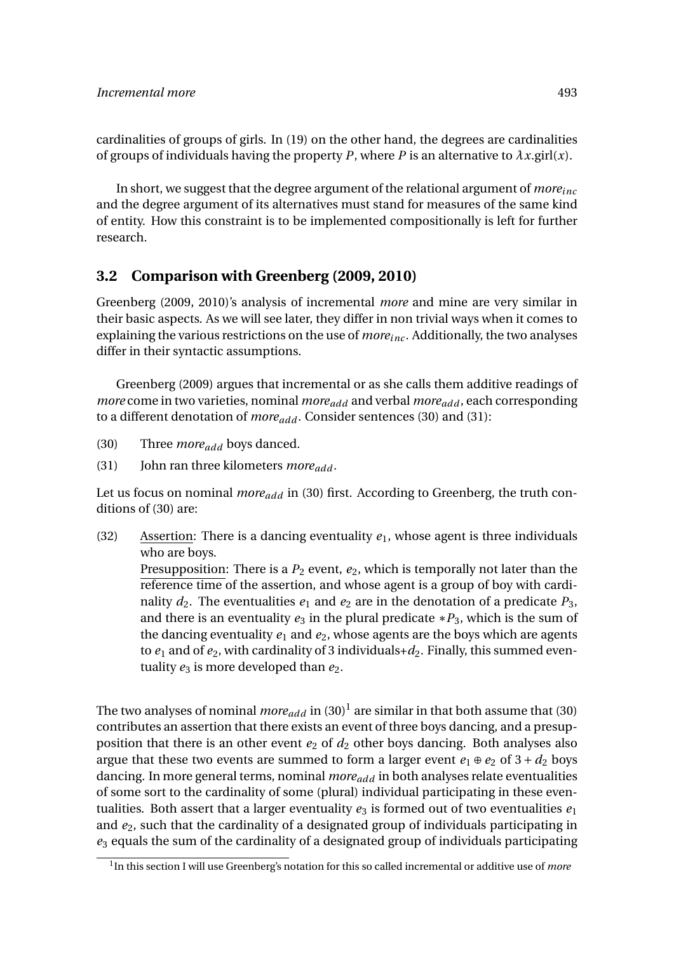cardinalities of groups of girls. In (19) on the other hand, the degrees are cardinalities of groups of individuals having the property *P*, where *P* is an alternative to  $\lambda x$ .girl(*x*).

In short, we suggest that the degree argument of the relational argument of *moreinc* and the degree argument of its alternatives must stand for measures of the same kind of entity. How this constraint is to be implemented compositionally is left for further research.

### **3.2 Comparison with Greenberg (2009, 2010)**

Greenberg (2009, 2010)'s analysis of incremental *more* and mine are very similar in their basic aspects. As we will see later, they differ in non trivial ways when it comes to explaining the various restrictions on the use of *moreinc* . Additionally, the two analyses differ in their syntactic assumptions.

Greenberg (2009) argues that incremental or as she calls them additive readings of *more* come in two varieties, nominal *moreadd* and verbal *moreadd* , each corresponding to a different denotation of *moreadd* . Consider sentences (30) and (31):

- (30) Three *moreadd* boys danced.
- (31) John ran three kilometers *moreadd* .

Let us focus on nominal *moreadd* in (30) first. According to Greenberg, the truth conditions of (30) are:

(32) Assertion: There is a dancing eventuality  $e_1$ , whose agent is three individuals who are boys.

Presupposition: There is a  $P_2$  event,  $e_2$ , which is temporally not later than the reference time of the assertion, and whose agent is a group of boy with cardinality  $d_2$ . The eventualities  $e_1$  and  $e_2$  are in the denotation of a predicate  $P_3$ , and there is an eventuality  $e_3$  in the plural predicate  $*P_3$ , which is the sum of the dancing eventuality  $e_1$  and  $e_2$ , whose agents are the boys which are agents to  $e_1$  and of  $e_2$ , with cardinality of 3 individuals +  $d_2$ . Finally, this summed eventuality  $e_3$  is more developed than  $e_2$ .

The two analyses of nominal  $\mathit{more}_{add}$  in  $(30)^1$  are similar in that both assume that (30) contributes an assertion that there exists an event of three boys dancing, and a presupposition that there is an other event  $e_2$  of  $d_2$  other boys dancing. Both analyses also argue that these two events are summed to form a larger event  $e_1 \oplus e_2$  of  $3 + d_2$  boys dancing. In more general terms, nominal *moreadd* in both analyses relate eventualities of some sort to the cardinality of some (plural) individual participating in these eventualities. Both assert that a larger eventuality  $e_3$  is formed out of two eventualities  $e_1$ and *e*2, such that the cardinality of a designated group of individuals participating in *e*<sup>3</sup> equals the sum of the cardinality of a designated group of individuals participating

<sup>1</sup> In this section I will use Greenberg's notation for this so called incremental or additive use of *more*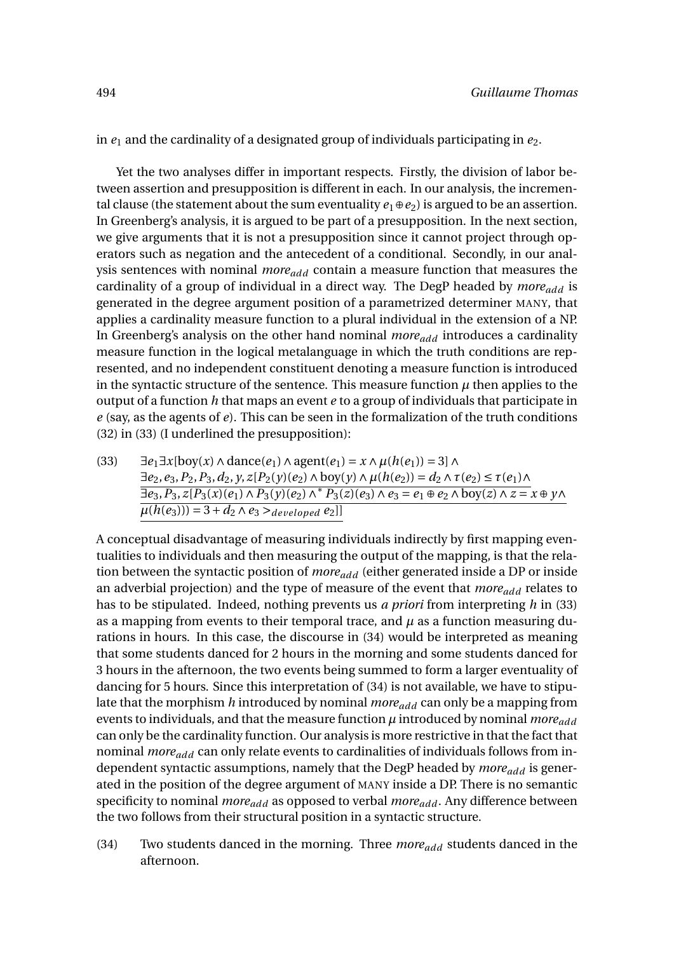in *e*<sup>1</sup> and the cardinality of a designated group of individuals participating in *e*2.

Yet the two analyses differ in important respects. Firstly, the division of labor between assertion and presupposition is different in each. In our analysis, the incremental clause (the statement about the sum eventuality  $e_1 \oplus e_2$ ) is argued to be an assertion. In Greenberg's analysis, it is argued to be part of a presupposition. In the next section, we give arguments that it is not a presupposition since it cannot project through operators such as negation and the antecedent of a conditional. Secondly, in our analysis sentences with nominal *moreadd* contain a measure function that measures the cardinality of a group of individual in a direct way. The DegP headed by *moreadd* is generated in the degree argument position of a parametrized determiner MANY, that applies a cardinality measure function to a plural individual in the extension of a NP. In Greenberg's analysis on the other hand nominal *moreadd* introduces a cardinality measure function in the logical metalanguage in which the truth conditions are represented, and no independent constituent denoting a measure function is introduced in the syntactic structure of the sentence. This measure function  $\mu$  then applies to the output of a function *h* that maps an event *e* to a group of individuals that participate in *e* (say, as the agents of *e*). This can be seen in the formalization of the truth conditions (32) in (33) (I underlined the presupposition):

(33)  $\exists e_1 \exists x [\text{boy}(x) \land \text{dance}(e_1) \land \text{agent}(e_1) = x \land \mu(h(e_1)) = 3] \land$  $∃e_2, e_3, P_2, P_3, d_2, y, z[P_2(y)(e_2) ∧ boy(y) ∧ μ(h(e_2)) = d_2 ∧ τ(e_2) ≤ τ(e_1) ∧$  $\overline{\exists e_3, P_3, z[P_3(x)(e_1) \land P_3(y)(e_2) \land^* P_3(z)(e_3) \land e_3 = e_1 \oplus e_2 \land \text{boy}(z) \land z = x \oplus y \land z$  $\mu(h(e_3))) = 3 + d_2 \wedge e_3 >_{developed} e_2$ 

A conceptual disadvantage of measuring individuals indirectly by first mapping eventualities to individuals and then measuring the output of the mapping, is that the relation between the syntactic position of *moreadd* (either generated inside a DP or inside an adverbial projection) and the type of measure of the event that *moreadd* relates to has to be stipulated. Indeed, nothing prevents us *a priori* from interpreting *h* in (33) as a mapping from events to their temporal trace, and  $\mu$  as a function measuring durations in hours. In this case, the discourse in (34) would be interpreted as meaning that some students danced for 2 hours in the morning and some students danced for 3 hours in the afternoon, the two events being summed to form a larger eventuality of dancing for 5 hours. Since this interpretation of (34) is not available, we have to stipulate that the morphism *h* introduced by nominal *moreadd* can only be a mapping from events to individuals, and that the measure function *µ* introduced by nominal *moreadd* can only be the cardinality function. Our analysis is more restrictive in that the fact that nominal *moreadd* can only relate events to cardinalities of individuals follows from independent syntactic assumptions, namely that the DegP headed by *moreadd* is generated in the position of the degree argument of MANY inside a DP. There is no semantic specificity to nominal *moreadd* as opposed to verbal *moreadd* . Any difference between the two follows from their structural position in a syntactic structure.

(34) Two students danced in the morning. Three *moreadd* students danced in the afternoon.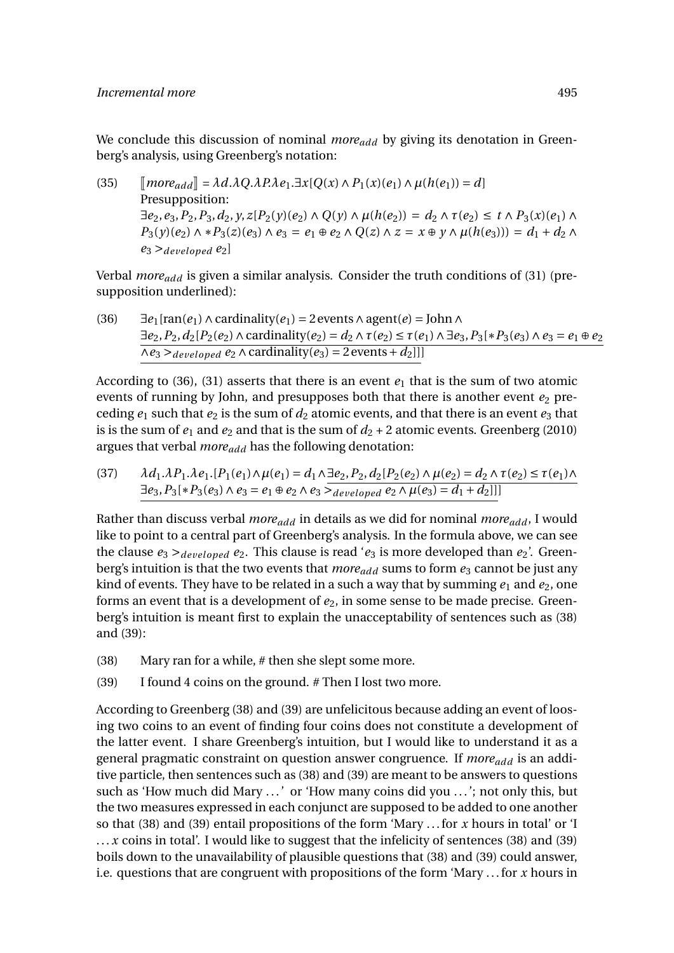### *Incremental more* 495

We conclude this discussion of nominal *more*<sub>add</sub> by giving its denotation in Greenberg's analysis, using Greenberg's notation:

 $\int \mathcal{L}(35)$   $\int \mathcal{L}(35)$   $\int \mathcal{L}(35)$   $\int \mathcal{L}(37.4) \cdot \mathcal{L}(37.4) \cdot \mathcal{L}(37.4) \cdot \mathcal{L}(37.4) \cdot \mathcal{L}(37.4) \cdot \mathcal{L}(37.4) \cdot \mathcal{L}(37.4) \cdot \mathcal{L}(37.4) \cdot \mathcal{L}(37.4) \cdot \mathcal{L}(37.4) \cdot \mathcal{L}(37.4) \cdot \mathcal{L}(37.4) \cdot \mathcal{L}(37.4) \cdot \mathcal{L}(3$ Presupposition:  $\exists e_2, e_3, P_2, P_3, d_2, y, z[P_2(y)(e_2) \wedge Q(y) \wedge \mu(h(e_2)) = d_2 \wedge \tau(e_2) \leq t \wedge P_3(x)(e_1) \wedge$ *P*<sub>3</sub>(*y*)(*e*<sub>2</sub>) ∧ \**P*<sub>3</sub>(*z*)(*e*<sub>3</sub>) ∧ *e*<sub>3</sub> = *e*<sub>1</sub> ⊕ *e*<sub>2</sub> ∧ *Q*(*z*) ∧ *z* = *x* ⊕ *y* ∧ *µ*(*h*(*e*<sub>3</sub>))) = *d*<sub>1</sub> + *d*<sub>2</sub> ∧  $e_3$  > *developed*  $e_2$ 

Verbal *moreadd* is given a similar analysis. Consider the truth conditions of (31) (presupposition underlined):

(36)  $\exists e_1$ [ran( $e_1$ ) ∧ cardinality( $e_1$ ) = 2 events ∧ agent( $e$ ) = John ∧ ∃*e*2,*P*2,*d*2[*P*2(*e*2)∧cardinality(*e*2) = *d*<sup>2</sup> ∧*τ*(*e*2) ≤ *τ*(*e*1)∧ ∃*e*3,*P*3[∗*P*3(*e*3)∧*e*<sup>3</sup> = *e*<sup>1</sup> ⊕*e*<sup>2</sup>  $\overline{\wedge e_3} >_{developed} e_2 \wedge \overline{\text{cardinality}(e_3)} = 2 \text{ events} + d_2$ 

According to (36), (31) asserts that there is an event  $e_1$  that is the sum of two atomic events of running by John, and presupposes both that there is another event  $e_2$  preceding  $e_1$  such that  $e_2$  is the sum of  $d_2$  atomic events, and that there is an event  $e_3$  that is is the sum of  $e_1$  and  $e_2$  and that is the sum of  $d_2 + 2$  atomic events. Greenberg (2010) argues that verbal *moreadd* has the following denotation:

(37) 
$$
\lambda d_1 \lambda P_1 \lambda e_1 \cdot [P_1(e_1) \wedge \mu(e_1) = d_1 \wedge \exists e_2, P_2, d_2 [P_2(e_2) \wedge \mu(e_2) = d_2 \wedge \tau(e_2) \le \tau(e_1) \wedge \exists e_3, P_3[*P_3(e_3) \wedge e_3 = e_1 \oplus e_2 \wedge e_3 \ge \text{developed } e_2 \wedge \mu(e_3) = d_1 + d_2]]
$$

Rather than discuss verbal *moreadd* in details as we did for nominal *moreadd* , I would like to point to a central part of Greenberg's analysis. In the formula above, we can see the clause  $e_3 >_{developed} e_2$ . This clause is read ' $e_3$  is more developed than  $e_2$ '. Greenberg's intuition is that the two events that *more*<sub>add</sub> sums to form  $e_3$  cannot be just any kind of events. They have to be related in a such a way that by summing  $e_1$  and  $e_2$ , one forms an event that is a development of  $e_2$ , in some sense to be made precise. Greenberg's intuition is meant first to explain the unacceptability of sentences such as (38) and (39):

- (38) Mary ran for a while, # then she slept some more.
- (39) I found 4 coins on the ground. # Then I lost two more.

According to Greenberg (38) and (39) are unfelicitous because adding an event of loosing two coins to an event of finding four coins does not constitute a development of the latter event. I share Greenberg's intuition, but I would like to understand it as a general pragmatic constraint on question answer congruence. If *moreadd* is an additive particle, then sentences such as (38) and (39) are meant to be answers to questions such as 'How much did Mary . . .' or 'How many coins did you . . .'; not only this, but the two measures expressed in each conjunct are supposed to be added to one another so that (38) and (39) entail propositions of the form 'Mary . . . for *x* hours in total' or 'I ... *x* coins in total'. I would like to suggest that the infelicity of sentences (38) and (39) boils down to the unavailability of plausible questions that (38) and (39) could answer, i.e. questions that are congruent with propositions of the form 'Mary . . . for *x* hours in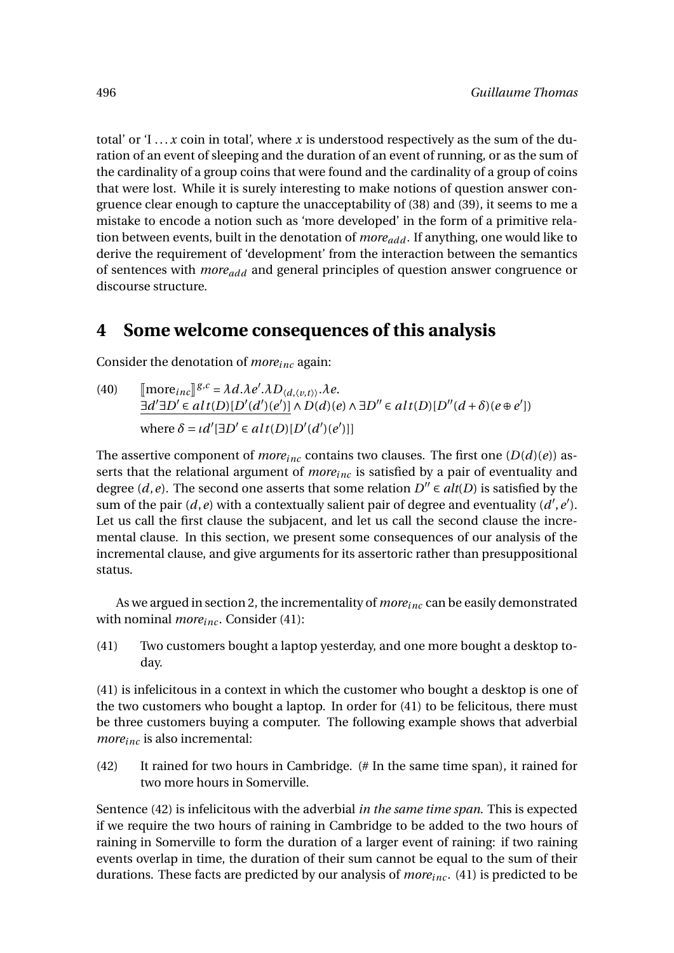total' or  $T \ldots x$  coin in total', where x is understood respectively as the sum of the duration of an event of sleeping and the duration of an event of running, or as the sum of the cardinality of a group coins that were found and the cardinality of a group of coins that were lost. While it is surely interesting to make notions of question answer congruence clear enough to capture the unacceptability of (38) and (39), it seems to me a mistake to encode a notion such as 'more developed' in the form of a primitive relation between events, built in the denotation of *moreadd* . If anything, one would like to derive the requirement of 'development' from the interaction between the semantics of sentences with *moreadd* and general principles of question answer congruence or discourse structure.

# **4 Some welcome consequences of this analysis**

Consider the denotation of *moreinc* again:

(40)  $\left[\text{more}_{inc}\right]^{g,c} = \lambda d.\lambda e'.\lambda D_{\langle d, \langle v, t \rangle \rangle}.\lambda e.$ <br> $\left[\text{and so} \right]^{g,c} = \lambda d. \lambda e'.\lambda D_{\langle d, \langle v, t \rangle \rangle}.\lambda e.$  $\exists d' \exists D' \in alt(D)[D'(d')(e')] \land D(d)(e) \land \exists D'' \in alt(D)[D''(d+\delta)(e \oplus e'])$ where  $\delta = \iota d'[\exists D' \in alt(D)[D'(d')(e')]]$ 

The assertive component of *more*<sub>inc</sub> contains two clauses. The first one  $(D(d)(e))$  asserts that the relational argument of *moreinc* is satisfied by a pair of eventuality and degree (*d*,*e*). The second one asserts that some relation  $D'' \in alt(D)$  is satisfied by the sum of the pair  $(d, e)$  with a contextually salient pair of degree and eventuality  $(d', e')$ . Let us call the first clause the subjacent, and let us call the second clause the incremental clause. In this section, we present some consequences of our analysis of the incremental clause, and give arguments for its assertoric rather than presuppositional status.

As we argued in section 2, the incrementality of *moreinc* can be easily demonstrated with nominal *more*<sub>inc</sub>. Consider (41):

(41) Two customers bought a laptop yesterday, and one more bought a desktop today.

(41) is infelicitous in a context in which the customer who bought a desktop is one of the two customers who bought a laptop. In order for (41) to be felicitous, there must be three customers buying a computer. The following example shows that adverbial *moreinc* is also incremental:

(42) It rained for two hours in Cambridge. (# In the same time span), it rained for two more hours in Somerville.

Sentence (42) is infelicitous with the adverbial *in the same time span*. This is expected if we require the two hours of raining in Cambridge to be added to the two hours of raining in Somerville to form the duration of a larger event of raining: if two raining events overlap in time, the duration of their sum cannot be equal to the sum of their durations. These facts are predicted by our analysis of *moreinc* . (41) is predicted to be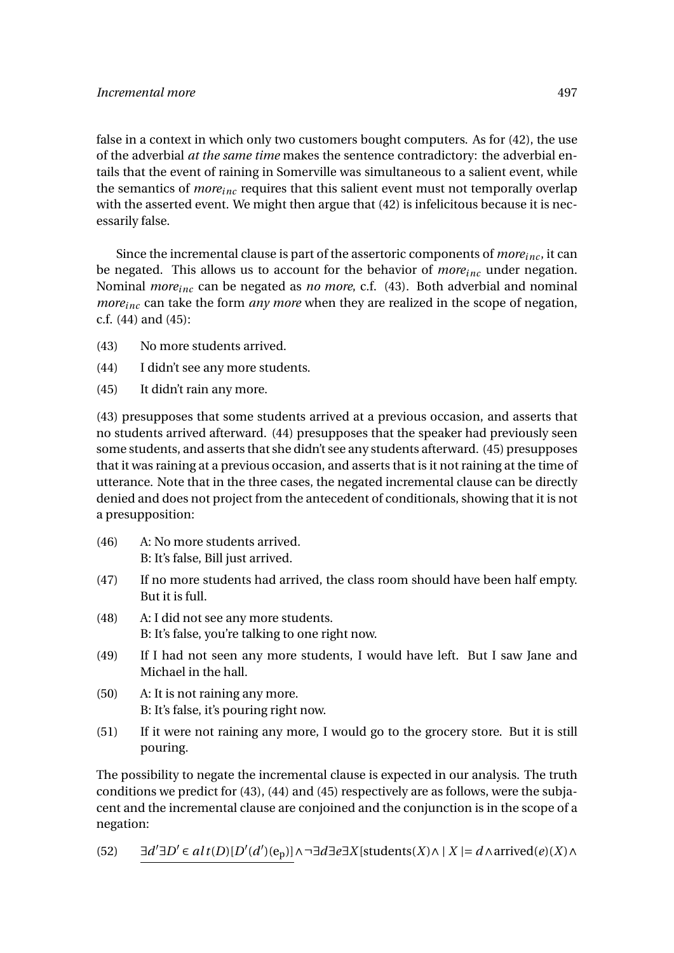false in a context in which only two customers bought computers. As for (42), the use of the adverbial *at the same time* makes the sentence contradictory: the adverbial entails that the event of raining in Somerville was simultaneous to a salient event, while the semantics of *moreinc* requires that this salient event must not temporally overlap with the asserted event. We might then argue that (42) is infelicitous because it is necessarily false.

Since the incremental clause is part of the assertoric components of  $more_{inc}$ , it can be negated. This allows us to account for the behavior of *moreinc* under negation. Nominal *moreinc* can be negated as *no more*, c.f. (43). Both adverbial and nominal *more*<sub>inc</sub> can take the form *any more* when they are realized in the scope of negation, c.f. (44) and (45):

- (43) No more students arrived.
- (44) I didn't see any more students.
- (45) It didn't rain any more.

(43) presupposes that some students arrived at a previous occasion, and asserts that no students arrived afterward. (44) presupposes that the speaker had previously seen some students, and asserts that she didn't see any students afterward. (45) presupposes that it was raining at a previous occasion, and asserts that is it not raining at the time of utterance. Note that in the three cases, the negated incremental clause can be directly denied and does not project from the antecedent of conditionals, showing that it is not a presupposition:

- (46) A: No more students arrived. B: It's false, Bill just arrived.
- (47) If no more students had arrived, the class room should have been half empty. But it is full.
- (48) A: I did not see any more students. B: It's false, you're talking to one right now.
- (49) If I had not seen any more students, I would have left. But I saw Jane and Michael in the hall.
- (50) A: It is not raining any more. B: It's false, it's pouring right now.
- (51) If it were not raining any more, I would go to the grocery store. But it is still pouring.

The possibility to negate the incremental clause is expected in our analysis. The truth conditions we predict for (43), (44) and (45) respectively are as follows, were the subjacent and the incremental clause are conjoined and the conjunction is in the scope of a negation:

(52) 
$$
\exists d' \exists D' \in alt(D)[D'(d')(e_p)] \land \neg \exists d \exists e \exists X [\text{students}(X) \land |X| = d \land \text{arrived}(e)(X) \land
$$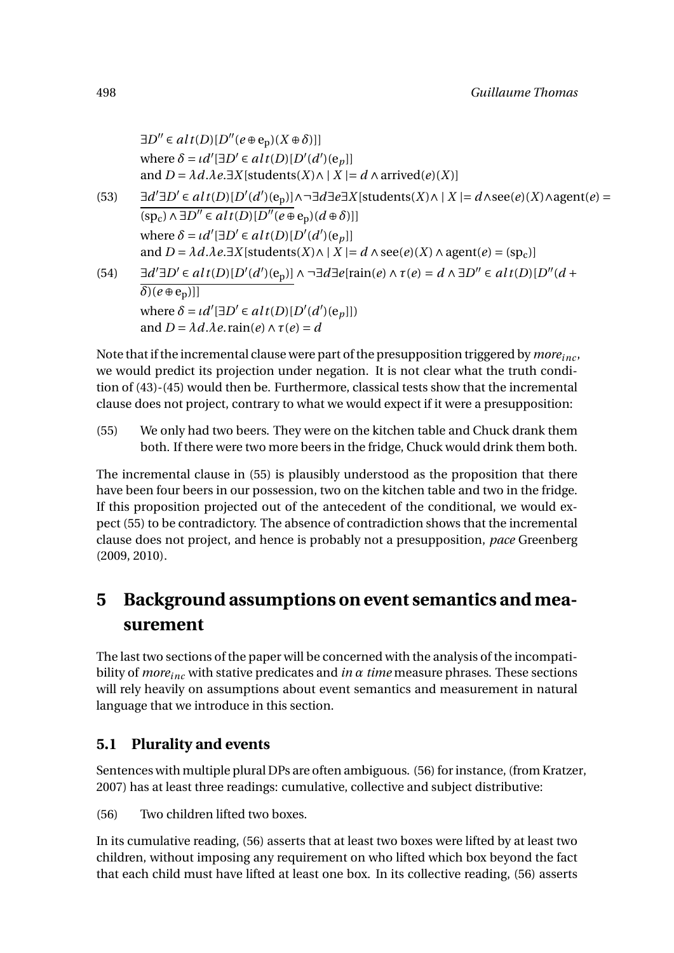$$
\exists D'' \in alt(D)[D''(e \oplus e_p)(X \oplus \delta)]]
$$
\nwhere  $\delta = id'[\exists D' \in alt(D)[D'(d')(e_p]]$   
\nand  $D = \lambda d.\lambda e.\exists X[\text{students}(X) \land | X | = d \land \text{arrived}(e)(X)]$   
\n $\exists d' \exists D' \in alt(D)[D'(d')(e_p)] \land \neg \exists d \exists e \exists X[\text{students}(X) \land | X | = d \land \text{see}(e)(X) \land \text{agent}(e) =$   
\n $(sp_c) \land \exists D'' \in alt(D)[D''(e \oplus e_p)(d \oplus \delta)]]$   
\nwhere  $\delta = id'[\exists D' \in alt(D)[D'(d')(e_p]]$   
\nand  $D = \lambda d.\lambda e.\exists X[\text{students}(X) \land | X | = d \land \text{see}(e)(X) \land \text{agent}(e) = (\text{sp}_c)]$   
\n $\exists d' \exists D' \in alt(D)[D'(d')(e_p)] \land \neg \exists d \exists e[\text{rain}(e) \land \tau(e) = d \land \exists D'' \in alt(D)[D''(d + \delta)(e_p)]]$   
\nwhere  $\delta = id'[\exists D' \in alt(D)[D'(d')(e_p)]$   
\nwhere  $\delta = id'[\exists D' \in alt(D)[D'(d')(e_p)]$   
\nand  $D = \lambda d.\lambda e.\text{rain}(e) \land \tau(e) = d$ 

Note that if the incremental clause were part of the presupposition triggered by *moreinc* , we would predict its projection under negation. It is not clear what the truth condition of (43)-(45) would then be. Furthermore, classical tests show that the incremental clause does not project, contrary to what we would expect if it were a presupposition:

(55) We only had two beers. They were on the kitchen table and Chuck drank them both. If there were two more beers in the fridge, Chuck would drink them both.

The incremental clause in (55) is plausibly understood as the proposition that there have been four beers in our possession, two on the kitchen table and two in the fridge. If this proposition projected out of the antecedent of the conditional, we would expect (55) to be contradictory. The absence of contradiction shows that the incremental clause does not project, and hence is probably not a presupposition, *pace* Greenberg (2009, 2010).

# **5 Background assumptions on event semantics and measurement**

The last two sections of the paper will be concerned with the analysis of the incompatibility of *moreinc* with stative predicates and *in α time* measure phrases. These sections will rely heavily on assumptions about event semantics and measurement in natural language that we introduce in this section.

### **5.1 Plurality and events**

Sentences with multiple plural DPs are often ambiguous. (56) for instance, (from Kratzer, 2007) has at least three readings: cumulative, collective and subject distributive:

(56) Two children lifted two boxes.

In its cumulative reading, (56) asserts that at least two boxes were lifted by at least two children, without imposing any requirement on who lifted which box beyond the fact that each child must have lifted at least one box. In its collective reading, (56) asserts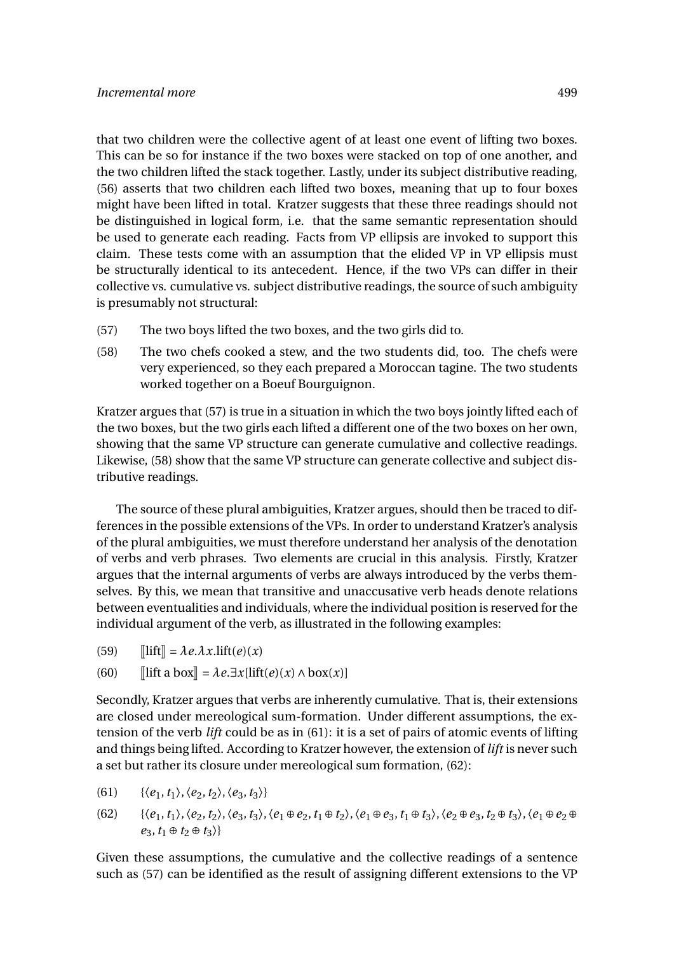that two children were the collective agent of at least one event of lifting two boxes. This can be so for instance if the two boxes were stacked on top of one another, and the two children lifted the stack together. Lastly, under its subject distributive reading, (56) asserts that two children each lifted two boxes, meaning that up to four boxes might have been lifted in total. Kratzer suggests that these three readings should not be distinguished in logical form, i.e. that the same semantic representation should be used to generate each reading. Facts from VP ellipsis are invoked to support this claim. These tests come with an assumption that the elided VP in VP ellipsis must be structurally identical to its antecedent. Hence, if the two VPs can differ in their collective vs. cumulative vs. subject distributive readings, the source of such ambiguity is presumably not structural:

- (57) The two boys lifted the two boxes, and the two girls did to.
- (58) The two chefs cooked a stew, and the two students did, too. The chefs were very experienced, so they each prepared a Moroccan tagine. The two students worked together on a Boeuf Bourguignon.

Kratzer argues that (57) is true in a situation in which the two boys jointly lifted each of the two boxes, but the two girls each lifted a different one of the two boxes on her own, showing that the same VP structure can generate cumulative and collective readings. Likewise, (58) show that the same VP structure can generate collective and subject distributive readings.

The source of these plural ambiguities, Kratzer argues, should then be traced to differences in the possible extensions of the VPs. In order to understand Kratzer's analysis of the plural ambiguities, we must therefore understand her analysis of the denotation of verbs and verb phrases. Two elements are crucial in this analysis. Firstly, Kratzer argues that the internal arguments of verbs are always introduced by the verbs themselves. By this, we mean that transitive and unaccusative verb heads denote relations between eventualities and individuals, where the individual position is reserved for the individual argument of the verb, as illustrated in the following examples:

(59)  $\text{diff} = \lambda e \cdot \lambda x \cdot \text{lift}(e)(x)$ 

(60) 
$$
\llbracket \text{lift a box} \rrbracket = \lambda e. \exists x [\text{lift}(e)(x) \land \text{box}(x)]
$$

Secondly, Kratzer argues that verbs are inherently cumulative. That is, their extensions are closed under mereological sum-formation. Under different assumptions, the extension of the verb *lift* could be as in (61): it is a set of pairs of atomic events of lifting and things being lifted. According to Kratzer however, the extension of *lift* is never such a set but rather its closure under mereological sum formation, (62):

- (61)  $\{\langle e_1, t_1 \rangle, \langle e_2, t_2 \rangle, \langle e_3, t_3 \rangle\}$
- (62)  $\{\langle e_1, t_1 \rangle, \langle e_2, t_2 \rangle, \langle e_3, t_3 \rangle, \langle e_1 \oplus e_2, t_1 \oplus t_2 \rangle, \langle e_1 \oplus e_3, t_1 \oplus t_3 \rangle, \langle e_2 \oplus e_3, t_2 \oplus t_3 \rangle, \langle e_1 \oplus e_2 \oplus$  $e_3, t_1 \oplus t_2 \oplus t_3$

Given these assumptions, the cumulative and the collective readings of a sentence such as (57) can be identified as the result of assigning different extensions to the VP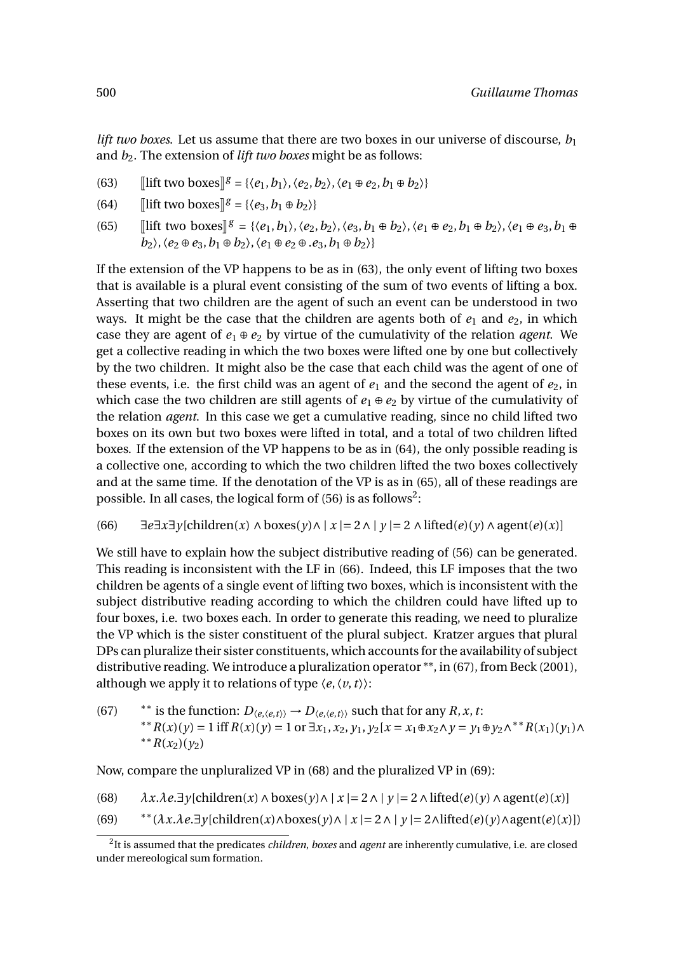*lift two boxes*. Let us assume that there are two boxes in our universe of discourse,  $b_1$ and *b*<sub>2</sub>. The extension of *lift two boxes* might be as follows:

- (63)  $[\text{lift two boxes}]^g = \{\langle e_1, b_1 \rangle, \langle e_2, b_2 \rangle, \langle e_1 \oplus e_2, b_1 \oplus b_2 \rangle\}$
- (64)  $\left[\text{lift two boxes}\right]$ <sup>*g*</sup> = { $\langle e_3, b_1 \oplus b_2 \rangle$ }
- (65)  $[\text{lift two boxes}]^g = \{\langle e_1, b_1 \rangle, \langle e_2, b_2 \rangle, \langle e_3, b_1 \oplus b_2 \rangle, \langle e_1 \oplus e_2, b_1 \oplus b_2 \rangle, \langle e_1 \oplus e_3, b_1 \oplus b_2 \rangle, \langle e_2 \oplus e_3, b_1 \oplus b_2 \rangle, \langle e_2 \oplus e_3, b_1 \oplus b_2 \rangle, \langle e_2 \oplus e_3, b_1 \oplus b_2 \rangle, \langle e_2 \oplus e_3, b_1 \oplus b_2 \rangle, \langle e_2 \oplus e_3, b_1 \oplus$  $b_2$ ,  $\langle e_2 \oplus e_3, b_1 \oplus b_2 \rangle$ ,  $\langle e_1 \oplus e_2 \oplus e_3, b_1 \oplus b_2 \rangle$

If the extension of the VP happens to be as in (63), the only event of lifting two boxes that is available is a plural event consisting of the sum of two events of lifting a box. Asserting that two children are the agent of such an event can be understood in two ways. It might be the case that the children are agents both of  $e_1$  and  $e_2$ , in which case they are agent of  $e_1 \oplus e_2$  by virtue of the cumulativity of the relation *agent*. We get a collective reading in which the two boxes were lifted one by one but collectively by the two children. It might also be the case that each child was the agent of one of these events, i.e. the first child was an agent of  $e_1$  and the second the agent of  $e_2$ , in which case the two children are still agents of  $e_1 \oplus e_2$  by virtue of the cumulativity of the relation *agent*. In this case we get a cumulative reading, since no child lifted two boxes on its own but two boxes were lifted in total, and a total of two children lifted boxes. If the extension of the VP happens to be as in (64), the only possible reading is a collective one, according to which the two children lifted the two boxes collectively and at the same time. If the denotation of the VP is as in (65), all of these readings are possible. In all cases, the logical form of (56) is as follows<sup>2</sup>:

 $\exists e \exists x \exists y$ [children(*x*) ∧ boxes(*y*)∧ | *x* | = 2 ∧ | *y* | = 2 ∧ lifted(*e*)(*y*) ∧ agent(*e*)(*x*)]

We still have to explain how the subject distributive reading of (56) can be generated. This reading is inconsistent with the LF in (66). Indeed, this LF imposes that the two children be agents of a single event of lifting two boxes, which is inconsistent with the subject distributive reading according to which the children could have lifted up to four boxes, i.e. two boxes each. In order to generate this reading, we need to pluralize the VP which is the sister constituent of the plural subject. Kratzer argues that plural DPs can pluralize their sister constituents, which accounts for the availability of subject distributive reading. We introduce a pluralization operator \*\*, in (67), from Beck (2001), although we apply it to relations of type  $\langle e, \langle v, t \rangle \rangle$ :

(67)  $*$  \* is the function:  $D_{\langle e, \langle e, t \rangle \rangle} \rightarrow D_{\langle e, \langle e, t \rangle \rangle}$  such that for any *R*, *x*, *t*: \*\*R(*x*)(*y*) = 1 iff  $R(x)(y) = 1$  or  $\exists x_1, x_2, y_1, y_2$ [ $x = x_1 \oplus x_2 \land y = y_1 \oplus y_2 \land$ \*\*R(*x*<sub>1</sub>)(*y*<sub>1</sub>)∧  $*$ <sup>\*</sup>*R*(*x*<sub>2</sub>)(*y*<sub>2</sub>)

Now, compare the unpluralized VP in (68) and the pluralized VP in (69):

(68)  $\lambda x.\lambda e.\exists y[\text{children}(x) \land \text{boxes}(y) \land | x| = 2 \land | y| = 2 \land \text{lifted}(e)(y) \land \text{agent}(e)(x)]$ 

(69)  $**(\lambda x.\lambda e.\exists y[\text{children}(x) \land \text{boxes}(y) \land |x| = 2 \land |y| = 2 \land \text{lifted}(e)(y) \land \text{agent}(e)(x))$ 

<sup>2</sup> It is assumed that the predicates *children*, *boxes* and *agent* are inherently cumulative, i.e. are closed under mereological sum formation.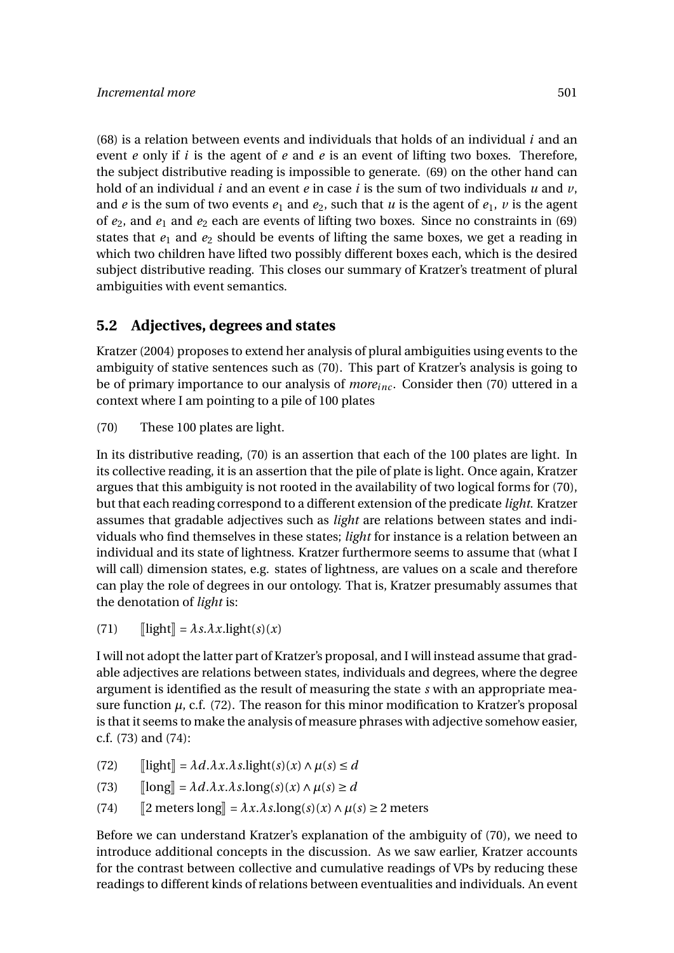(68) is a relation between events and individuals that holds of an individual *i* and an event *e* only if *i* is the agent of *e* and *e* is an event of lifting two boxes. Therefore, the subject distributive reading is impossible to generate. (69) on the other hand can hold of an individual *i* and an event *e* in case *i* is the sum of two individuals *u* and *v*, and *e* is the sum of two events  $e_1$  and  $e_2$ , such that *u* is the agent of  $e_1$ , *v* is the agent of  $e_2$ , and  $e_1$  and  $e_2$  each are events of lifting two boxes. Since no constraints in (69) states that *e*<sup>1</sup> and *e*<sup>2</sup> should be events of lifting the same boxes, we get a reading in which two children have lifted two possibly different boxes each, which is the desired subject distributive reading. This closes our summary of Kratzer's treatment of plural ambiguities with event semantics.

### **5.2 Adjectives, degrees and states**

Kratzer (2004) proposes to extend her analysis of plural ambiguities using events to the ambiguity of stative sentences such as (70). This part of Kratzer's analysis is going to be of primary importance to our analysis of *moreinc* . Consider then (70) uttered in a context where I am pointing to a pile of 100 plates

(70) These 100 plates are light.

In its distributive reading, (70) is an assertion that each of the 100 plates are light. In its collective reading, it is an assertion that the pile of plate is light. Once again, Kratzer argues that this ambiguity is not rooted in the availability of two logical forms for (70), but that each reading correspond to a different extension of the predicate *light*. Kratzer assumes that gradable adjectives such as *light* are relations between states and individuals who find themselves in these states; *light* for instance is a relation between an individual and its state of lightness. Kratzer furthermore seems to assume that (what I will call) dimension states, e.g. states of lightness, are values on a scale and therefore can play the role of degrees in our ontology. That is, Kratzer presumably assumes that the denotation of *light* is:

 $\llbracket \text{light} \rrbracket = \lambda s. \lambda x. \text{light}(s)(x)$ 

I will not adopt the latter part of Kratzer's proposal, and I will instead assume that gradable adjectives are relations between states, individuals and degrees, where the degree argument is identified as the result of measuring the state *s* with an appropriate measure function  $\mu$ , c.f. (72). The reason for this minor modification to Kratzer's proposal is that it seems to make the analysis of measure phrases with adjective somehow easier, c.f. (73) and (74):

- 
- (72)  $[\text{light}] = \lambda d.\lambda x.\lambda s.\text{light}(s)(x) \land \mu(s) \le d$ <br>(73)  $[\text{long}] = \lambda d.\lambda x.\lambda s.\text{long}(s)(x) \land \mu(s) \ge d$ (73)  $[\text{long}] = \lambda d.\lambda x.\lambda s.\text{long}(s)(x) \wedge \mu(s) \ge d$ <br>(74)  $[\text{2 meters long}] = \lambda x.\lambda s.\text{long}(s)(x) \wedge \mu(s)$
- $[2 \text{ meters} \text{long}] = \lambda x.\lambda s.\text{long}(s)(x) \land \mu(s) \geq 2 \text{ meters}$

Before we can understand Kratzer's explanation of the ambiguity of (70), we need to introduce additional concepts in the discussion. As we saw earlier, Kratzer accounts for the contrast between collective and cumulative readings of VPs by reducing these readings to different kinds of relations between eventualities and individuals. An event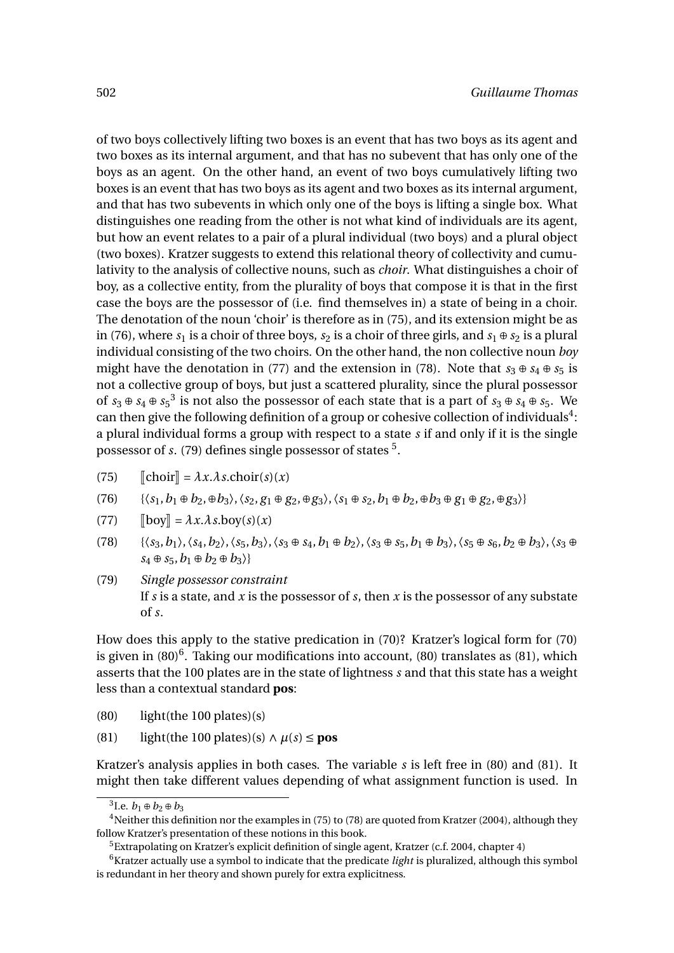of two boys collectively lifting two boxes is an event that has two boys as its agent and two boxes as its internal argument, and that has no subevent that has only one of the boys as an agent. On the other hand, an event of two boys cumulatively lifting two boxes is an event that has two boys as its agent and two boxes as its internal argument, and that has two subevents in which only one of the boys is lifting a single box. What distinguishes one reading from the other is not what kind of individuals are its agent, but how an event relates to a pair of a plural individual (two boys) and a plural object (two boxes). Kratzer suggests to extend this relational theory of collectivity and cumulativity to the analysis of collective nouns, such as *choir*. What distinguishes a choir of boy, as a collective entity, from the plurality of boys that compose it is that in the first case the boys are the possessor of (i.e. find themselves in) a state of being in a choir. The denotation of the noun 'choir' is therefore as in (75), and its extension might be as in (76), where  $s_1$  is a choir of three boys,  $s_2$  is a choir of three girls, and  $s_1 \oplus s_2$  is a plural individual consisting of the two choirs. On the other hand, the non collective noun *boy* might have the denotation in (77) and the extension in (78). Note that  $s_3 \oplus s_4 \oplus s_5$  is not a collective group of boys, but just a scattered plurality, since the plural possessor of  $s_3 \oplus s_4 \oplus s_5^3$  is not also the possessor of each state that is a part of  $s_3 \oplus s_4 \oplus s_5$ . We can then give the following definition of a group or cohesive collection of individuals<sup>4</sup>: a plural individual forms a group with respect to a state *s* if and only if it is the single possessor of *s*. (79) defines single possessor of states <sup>5</sup>.

- (75)  $\left[\text{choir}\right] = \lambda x.\lambda s.\text{choir}(s)(x)$ <br>(76)  $\{\langle s_1, b_1 \oplus b_2, \oplus b_3 \rangle, \langle s_2, g_1 \oplus g_2 \rangle\}$
- $\{\langle s_1, b_1 \oplus b_2, \oplus b_3 \rangle, \langle s_2, g_1 \oplus g_2, \oplus g_3 \rangle, \langle s_1 \oplus s_2, b_1 \oplus b_2, \oplus b_3 \oplus g_1 \oplus g_2, \oplus g_3 \rangle\}$
- (77)  $[\b{boy}] = \lambda x.\lambda s.boy(s)(x)$ <br>(78)  $\{\langle s_3, b_1 \rangle, \langle s_4, b_2 \rangle, \langle s_5, b_3 \rangle\}$
- $\{\langle s_3, b_1 \rangle, \langle s_4, b_2 \rangle, \langle s_5, b_3 \rangle, \langle s_3 \oplus s_4, b_1 \oplus b_2 \rangle, \langle s_3 \oplus s_5, b_1 \oplus b_3 \rangle, \langle s_5 \oplus s_6, b_2 \oplus b_3 \rangle, \langle s_3 \oplus s_6 \oplus s_2 \oplus b_3 \rangle, \langle s_4 \oplus s_4 \oplus s_5 \oplus s_6 \oplus s_6 \oplus s_7 \oplus s_8 \oplus s_9 \oplus s_9 \}$  $s_4 \oplus s_5$ ,  $b_1 \oplus b_2 \oplus b_3$
- (79) *Single possessor constraint* If *s* is a state, and *x* is the possessor of *s*, then *x* is the possessor of any substate of *s*.

How does this apply to the stative predication in (70)? Kratzer's logical form for (70) is given in  $(80)^6$ . Taking our modifications into account,  $(80)$  translates as  $(81)$ , which asserts that the 100 plates are in the state of lightness *s* and that this state has a weight less than a contextual standard **pos**:

- (80) light(the 100 plates)(s)
- (81) light(the 100 plates)(s) ∧ *µ*(*s*) ≤ **pos**

Kratzer's analysis applies in both cases. The variable *s* is left free in (80) and (81). It might then take different values depending of what assignment function is used. In

<sup>&</sup>lt;sup>3</sup>I.e. *b*<sub>1</sub> ⊕ *b*<sub>2</sub> ⊕ *b*<sub>3</sub>

<sup>&</sup>lt;sup>4</sup>Neither this definition nor the examples in (75) to (78) are quoted from Kratzer (2004), although they follow Kratzer's presentation of these notions in this book.

<sup>&</sup>lt;sup>5</sup>Extrapolating on Kratzer's explicit definition of single agent, Kratzer (c.f. 2004, chapter 4)

<sup>6</sup>Kratzer actually use a symbol to indicate that the predicate *light* is pluralized, although this symbol is redundant in her theory and shown purely for extra explicitness.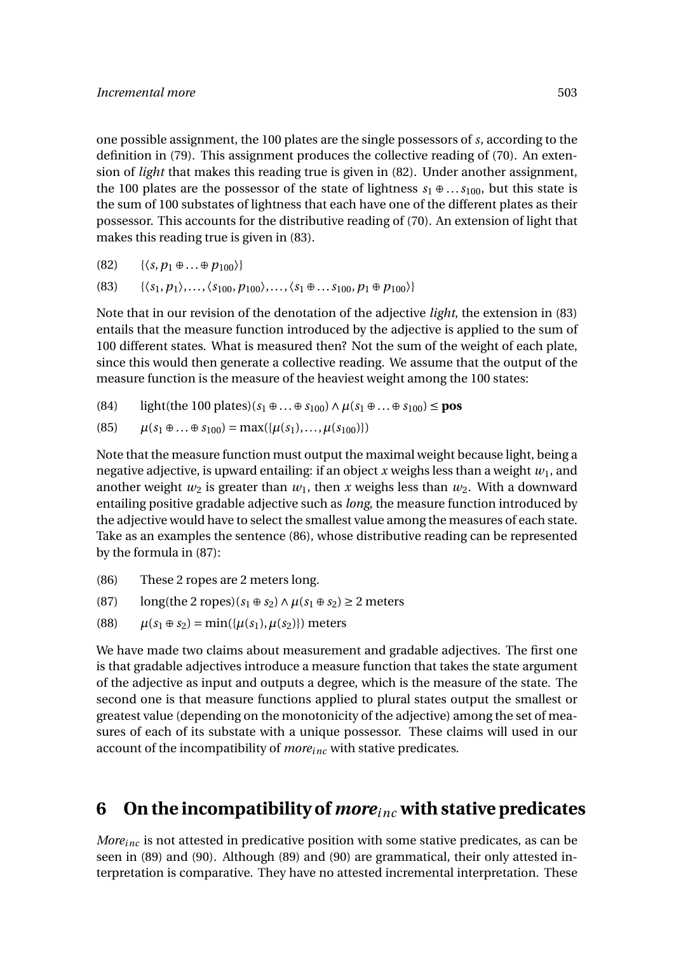one possible assignment, the 100 plates are the single possessors of *s*, according to the definition in (79). This assignment produces the collective reading of (70). An extension of *light* that makes this reading true is given in (82). Under another assignment, the 100 plates are the possessor of the state of lightness  $s_1 \oplus ... s_{100}$ , but this state is the sum of 100 substates of lightness that each have one of the different plates as their possessor. This accounts for the distributive reading of (70). An extension of light that makes this reading true is given in (83).

$$
(82) \qquad \{\langle s, p_1 \oplus \ldots \oplus p_{100}\rangle\}
$$

(83)  $\{\langle s_1, p_1 \rangle, \ldots, \langle s_{100}, p_{100} \rangle, \ldots, \langle s_1 \oplus \ldots s_{100}, p_1 \oplus p_{100} \rangle\}$ 

Note that in our revision of the denotation of the adjective *light*, the extension in (83) entails that the measure function introduced by the adjective is applied to the sum of 100 different states. What is measured then? Not the sum of the weight of each plate, since this would then generate a collective reading. We assume that the output of the measure function is the measure of the heaviest weight among the 100 states:

(84) light(the 100 plates)(*s*<sup>1</sup> ⊕...⊕ *s*100)∧*µ*(*s*<sup>1</sup> ⊕...⊕ *s*100) ≤ **pos**

(85) 
$$
\mu(s_1 \oplus ... \oplus s_{100}) = \max(\{\mu(s_1), ..., \mu(s_{100})\})
$$

Note that the measure function must output the maximal weight because light, being a negative adjective, is upward entailing: if an object x weighs less than a weight  $w_1$ , and another weight  $w_2$  is greater than  $w_1$ , then x weighs less than  $w_2$ . With a downward entailing positive gradable adjective such as *long*, the measure function introduced by the adjective would have to select the smallest value among the measures of each state. Take as an examples the sentence (86), whose distributive reading can be represented by the formula in (87):

- (86) These 2 ropes are 2 meters long.
- (87)  $\log(\text{the 2 ropes})(s_1 \oplus s_2) \wedge \mu(s_1 \oplus s_2) \geq 2 \text{ meters}$
- (88)  $\mu(s_1 \oplus s_2) = \min(\{\mu(s_1), \mu(s_2)\})$  meters

We have made two claims about measurement and gradable adjectives. The first one is that gradable adjectives introduce a measure function that takes the state argument of the adjective as input and outputs a degree, which is the measure of the state. The second one is that measure functions applied to plural states output the smallest or greatest value (depending on the monotonicity of the adjective) among the set of measures of each of its substate with a unique possessor. These claims will used in our account of the incompatibility of *moreinc* with stative predicates.

# **6 On the incompatibility of** *moreinc* **with stative predicates**

*Moreinc* is not attested in predicative position with some stative predicates, as can be seen in (89) and (90). Although (89) and (90) are grammatical, their only attested interpretation is comparative. They have no attested incremental interpretation. These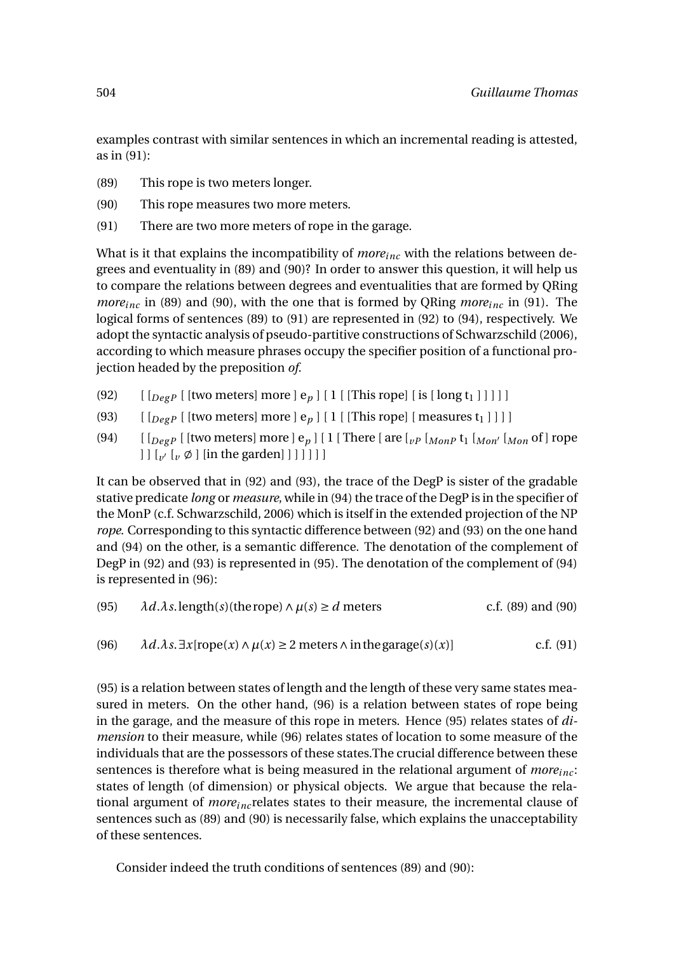examples contrast with similar sentences in which an incremental reading is attested, as in (91):

- (89) This rope is two meters longer.
- (90) This rope measures two more meters.
- (91) There are two more meters of rope in the garage.

What is it that explains the incompatibility of *moreinc* with the relations between degrees and eventuality in (89) and (90)? In order to answer this question, it will help us to compare the relations between degrees and eventualities that are formed by QRing *moreinc* in (89) and (90), with the one that is formed by QRing *moreinc* in (91). The logical forms of sentences (89) to (91) are represented in (92) to (94), respectively. We adopt the syntactic analysis of pseudo-partitive constructions of Schwarzschild (2006), according to which measure phrases occupy the specifier position of a functional projection headed by the preposition *of*.

- (92)  $\left[ \begin{array}{cc} \left[ \begin{array}{cc} \left[ \begin{array}{cc} \text{[two meters]} \end{array} \right] \text{ more} \end{array} \right] e_p \end{array} \right] \left[ \begin{array}{cc} 1 \\ \end{array} \right] \left[ \begin{array}{cc} \text{This rope} \end{array} \right] \left[ \begin{array}{cc} \text{is} \begin{array}{cc} \text{long t}_1 \end{array} \right] \right] \left[ \begin{array}{cc} \text{]} \end{array} \right]$
- (93)  $\left[ \begin{array}{cc} \left[ \begin{array}{cc} \left[ \begin{array}{cc} \text{[two meters]} \end{array} \right] \text{more} \end{array} \right] e_p \end{array} \right] \left[ \begin{array}{cc} 1 \\ \end{array} \right] \left[ \begin{array}{cc} \text{This rope} \end{array} \right] \left[ \begin{array}{cc} \text{measures } t_1 \end{array} \right] \left[ \begin{array}{cc} \text{[two meters]} \end{array} \right] \left[ \begin{array}{cc} \text{[one terms]} \end{array} \right] \left[ \begin{array}{cc} 0 \\ \text{[one terms]} \end{array}$
- (94)  $\left[\begin{array}{cc} [DegP] \ [ \text{two meters}] \ \text{more} \end{array}\right]$  [1  $\left[\begin{array}{cc} \text{There} \ [ \text{are} \ [ \nu P \ [ \text{Mon} P \ t_1 \ [ \text{Mon} \ ' \ [ \text{Mon} \ 0 \ \text{of} \ ] \ \text{rope} \end{array}\right]$ ] ] [*<sup>v</sup>* <sup>0</sup> [*<sup>v</sup>* ; ] [in the garden] ] ] ] ] ] ]

It can be observed that in (92) and (93), the trace of the DegP is sister of the gradable stative predicate *long* or *measure*, while in (94) the trace of the DegP is in the specifier of the MonP (c.f. Schwarzschild, 2006) which is itself in the extended projection of the NP *rope*. Corresponding to this syntactic difference between (92) and (93) on the one hand and (94) on the other, is a semantic difference. The denotation of the complement of DegP in (92) and (93) is represented in (95). The denotation of the complement of (94) is represented in (96):

(95) 
$$
\lambda d.\lambda s
$$
.length(s)(thereope)  $\wedge \mu(s) \ge d$  meters c.f. (89) and (90)

(96) 
$$
\lambda d.\lambda s. \exists x [rope(x) \land \mu(x) \geq 2 \text{ meters } \land \text{ in the garage}(s)(x)]
$$
 c.f. (91)

(95) is a relation between states of length and the length of these very same states measured in meters. On the other hand, (96) is a relation between states of rope being in the garage, and the measure of this rope in meters. Hence (95) relates states of *dimension* to their measure, while (96) relates states of location to some measure of the individuals that are the possessors of these states.The crucial difference between these sentences is therefore what is being measured in the relational argument of *moreinc* : states of length (of dimension) or physical objects. We argue that because the relational argument of *moreinc* relates states to their measure, the incremental clause of sentences such as (89) and (90) is necessarily false, which explains the unacceptability of these sentences.

Consider indeed the truth conditions of sentences (89) and (90):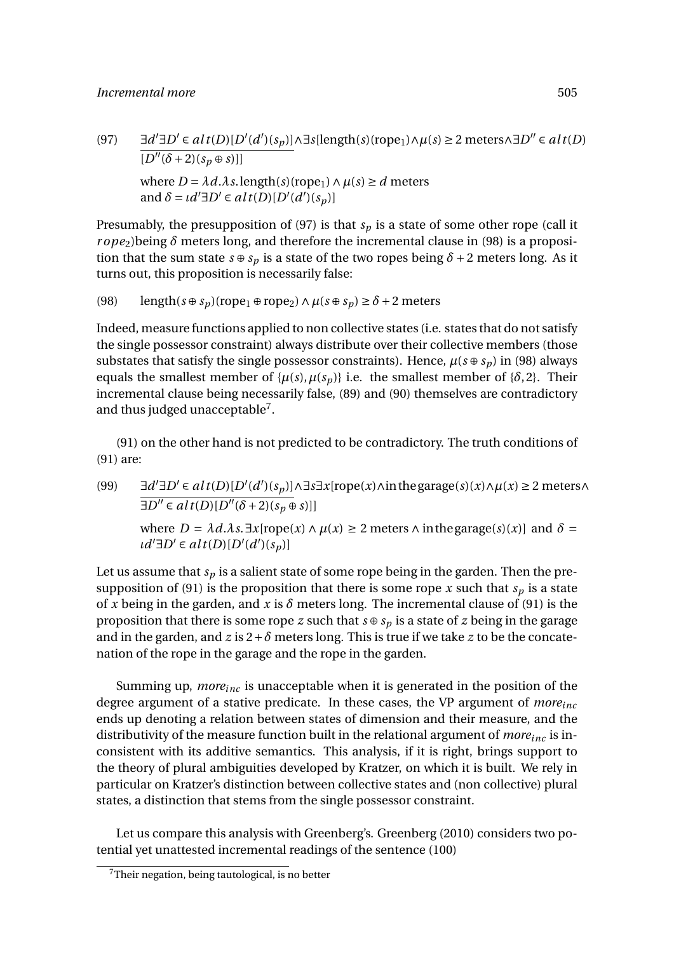$\exists d' \exists D' \in alt(D)[D'(d')(s_p)] \land \exists s[length(s)(rope_1) \land \mu(s) \geq 2 \text{ meters} \land \exists D'' \in alt(D)$  $\overline{[D''(\delta+2)(s_p\oplus s)]}$ where  $D = \lambda d.\lambda s$ . length(*s*)(rope<sub>1</sub>)  $\wedge \mu(s) \ge d$  meters and  $\delta = \iota d' \exists D' \in alt(D)[D'(d')(s_p)]$ 

Presumably, the presupposition of (97) is that  $s_p$  is a state of some other rope (call it *r ope*2)being *δ* meters long, and therefore the incremental clause in (98) is a proposition that the sum state  $s \oplus s_p$  is a state of the two ropes being  $\delta + 2$  meters long. As it turns out, this proposition is necessarily false:

(98) length( $s \oplus s_p$ )(rope<sub>1</sub>  $\oplus$  rope<sub>2</sub>)  $\land$   $\mu$ ( $s \oplus s_p$ )  $\geq \delta$  + 2 meters

Indeed, measure functions applied to non collective states (i.e. states that do not satisfy the single possessor constraint) always distribute over their collective members (those substates that satisfy the single possessor constraints). Hence,  $\mu(s \oplus s_p)$  in (98) always equals the smallest member of  $\{\mu(s), \mu(s_n)\}$  i.e. the smallest member of  $\{\delta, 2\}$ . Their incremental clause being necessarily false, (89) and (90) themselves are contradictory and thus judged unacceptable<sup>7</sup>.

(91) on the other hand is not predicted to be contradictory. The truth conditions of (91) are:

(99) ∃*d*  $\forall \exists D' \in alt(D)[D'(d')(s_p)] \land \exists s \exists x [rope(x) \land in the garage(s)(x) \land \mu(x) \geq 2$  meters∧  $\exists D'' \in alt(D)[D''(\delta+2)(s_p \oplus s)]$ where  $D = \lambda d.\lambda s$ .  $\exists x$ [rope(*x*)  $\land \mu(x) \geq 2$  meters  $\land$  in the garage(*s*)(*x*)] and  $\delta =$  $d'$ ∃*D*<sup> $\prime$ </sup> ∈ *alt*(*D*)[*D*<sup> $\prime$ </sup>(*d*<sup> $\prime$ </sup>)(*s*<sub>*p*</sub>)]

Let us assume that *s<sup>p</sup>* is a salient state of some rope being in the garden. Then the presupposition of (91) is the proposition that there is some rope  $x$  such that  $s_p$  is a state of *x* being in the garden, and *x* is  $\delta$  meters long. The incremental clause of (91) is the proposition that there is some rope *z* such that  $s \oplus s_n$  is a state of *z* being in the garage and in the garden, and  $z$  is  $2+\delta$  meters long. This is true if we take  $z$  to be the concatenation of the rope in the garage and the rope in the garden.

Summing up, *moreinc* is unacceptable when it is generated in the position of the degree argument of a stative predicate. In these cases, the VP argument of *moreinc* ends up denoting a relation between states of dimension and their measure, and the distributivity of the measure function built in the relational argument of *moreinc* is inconsistent with its additive semantics. This analysis, if it is right, brings support to the theory of plural ambiguities developed by Kratzer, on which it is built. We rely in particular on Kratzer's distinction between collective states and (non collective) plural states, a distinction that stems from the single possessor constraint.

Let us compare this analysis with Greenberg's. Greenberg (2010) considers two potential yet unattested incremental readings of the sentence (100)

<sup>7</sup>Their negation, being tautological, is no better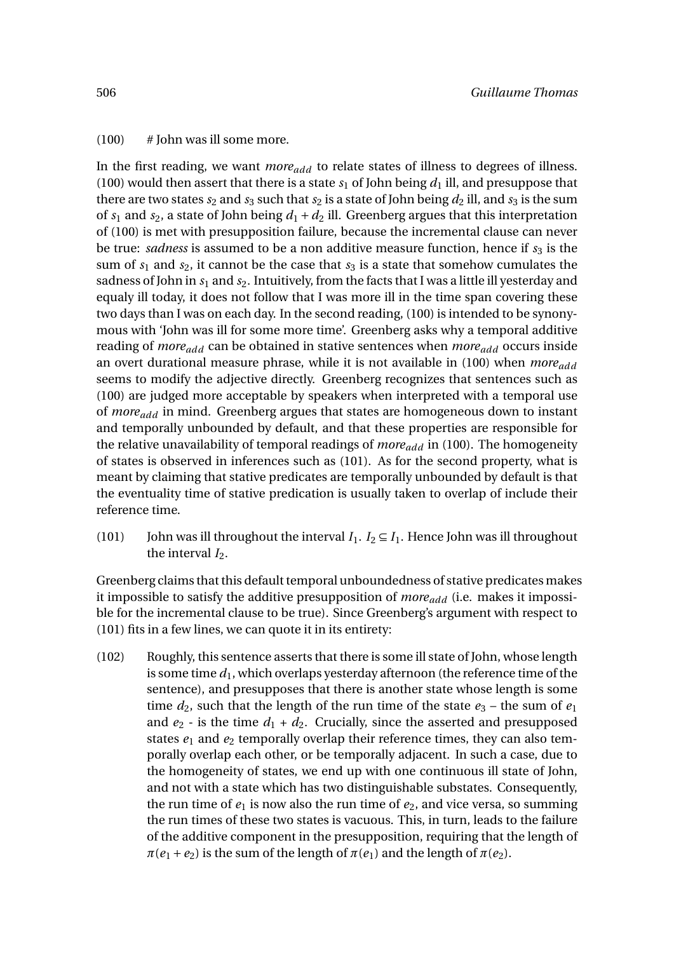#### $(100)$  # John was ill some more.

In the first reading, we want *moreadd* to relate states of illness to degrees of illness. (100) would then assert that there is a state  $s<sub>1</sub>$  of John being  $d<sub>1</sub>$  ill, and presuppose that there are two states  $s_2$  and  $s_3$  such that  $s_2$  is a state of John being  $d_2$  ill, and  $s_3$  is the sum of  $s_1$  and  $s_2$ , a state of John being  $d_1 + d_2$  ill. Greenberg argues that this interpretation of (100) is met with presupposition failure, because the incremental clause can never be true: *sadness* is assumed to be a non additive measure function, hence if  $s_3$  is the sum of  $s_1$  and  $s_2$ , it cannot be the case that  $s_3$  is a state that somehow cumulates the sadness of John in  $s_1$  and  $s_2$ . Intuitively, from the facts that I was a little ill yesterday and equaly ill today, it does not follow that I was more ill in the time span covering these two days than I was on each day. In the second reading, (100) is intended to be synonymous with 'John was ill for some more time'. Greenberg asks why a temporal additive reading of *moreadd* can be obtained in stative sentences when *moreadd* occurs inside an overt durational measure phrase, while it is not available in (100) when *moreadd* seems to modify the adjective directly. Greenberg recognizes that sentences such as (100) are judged more acceptable by speakers when interpreted with a temporal use of *moreadd* in mind. Greenberg argues that states are homogeneous down to instant and temporally unbounded by default, and that these properties are responsible for the relative unavailability of temporal readings of *moreadd* in (100). The homogeneity of states is observed in inferences such as (101). As for the second property, what is meant by claiming that stative predicates are temporally unbounded by default is that the eventuality time of stative predication is usually taken to overlap of include their reference time.

(101) John was ill throughout the interval  $I_1$ .  $I_2 \subseteq I_1$ . Hence John was ill throughout the interval  $I_2$ .

Greenberg claims that this default temporal unboundedness of stative predicates makes it impossible to satisfy the additive presupposition of *moreadd* (i.e. makes it impossible for the incremental clause to be true). Since Greenberg's argument with respect to (101) fits in a few lines, we can quote it in its entirety:

(102) Roughly, this sentence asserts that there is some ill state of John, whose length is some time *d*1, which overlaps yesterday afternoon (the reference time of the sentence), and presupposes that there is another state whose length is some time  $d_2$ , such that the length of the run time of the state  $e_3$  – the sum of  $e_1$ and  $e_2$  - is the time  $d_1 + d_2$ . Crucially, since the asserted and presupposed states  $e_1$  and  $e_2$  temporally overlap their reference times, they can also temporally overlap each other, or be temporally adjacent. In such a case, due to the homogeneity of states, we end up with one continuous ill state of John, and not with a state which has two distinguishable substates. Consequently, the run time of  $e_1$  is now also the run time of  $e_2$ , and vice versa, so summing the run times of these two states is vacuous. This, in turn, leads to the failure of the additive component in the presupposition, requiring that the length of  $\pi(e_1 + e_2)$  is the sum of the length of  $\pi(e_1)$  and the length of  $\pi(e_2)$ .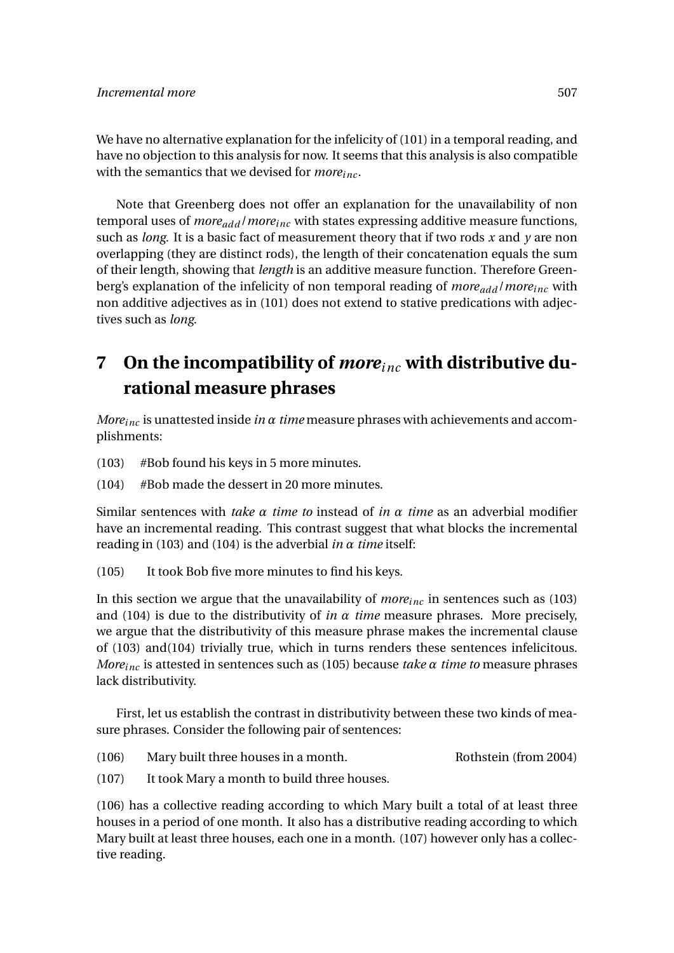We have no alternative explanation for the infelicity of (101) in a temporal reading, and have no objection to this analysis for now. It seems that this analysis is also compatible with the semantics that we devised for *moreinc* .

Note that Greenberg does not offer an explanation for the unavailability of non temporal uses of *moreadd* /*moreinc* with states expressing additive measure functions, such as *long*. It is a basic fact of measurement theory that if two rods *x* and *y* are non overlapping (they are distinct rods), the length of their concatenation equals the sum of their length, showing that *length* is an additive measure function. Therefore Greenberg's explanation of the infelicity of non temporal reading of *moreadd* /*moreinc* with non additive adjectives as in (101) does not extend to stative predications with adjectives such as *long*.

# **7 On the incompatibility of** *moreinc* **with distributive durational measure phrases**

*Moreinc* is unattested inside *in α time* measure phrases with achievements and accomplishments:

- (103) #Bob found his keys in 5 more minutes.
- (104) #Bob made the dessert in 20 more minutes.

Similar sentences with *take α time to* instead of *in α time* as an adverbial modifier have an incremental reading. This contrast suggest that what blocks the incremental reading in (103) and (104) is the adverbial *in*  $\alpha$  *time* itself:

(105) It took Bob five more minutes to find his keys.

In this section we argue that the unavailability of *moreinc* in sentences such as (103) and (104) is due to the distributivity of *in*  $\alpha$  *time* measure phrases. More precisely, we argue that the distributivity of this measure phrase makes the incremental clause of (103) and(104) trivially true, which in turns renders these sentences infelicitous. *Moreinc* is attested in sentences such as (105) because *take α time to* measure phrases lack distributivity.

First, let us establish the contrast in distributivity between these two kinds of measure phrases. Consider the following pair of sentences:

- (106) Mary built three houses in a month. Rothstein (from 2004)
- (107) It took Mary a month to build three houses.

(106) has a collective reading according to which Mary built a total of at least three houses in a period of one month. It also has a distributive reading according to which Mary built at least three houses, each one in a month. (107) however only has a collective reading.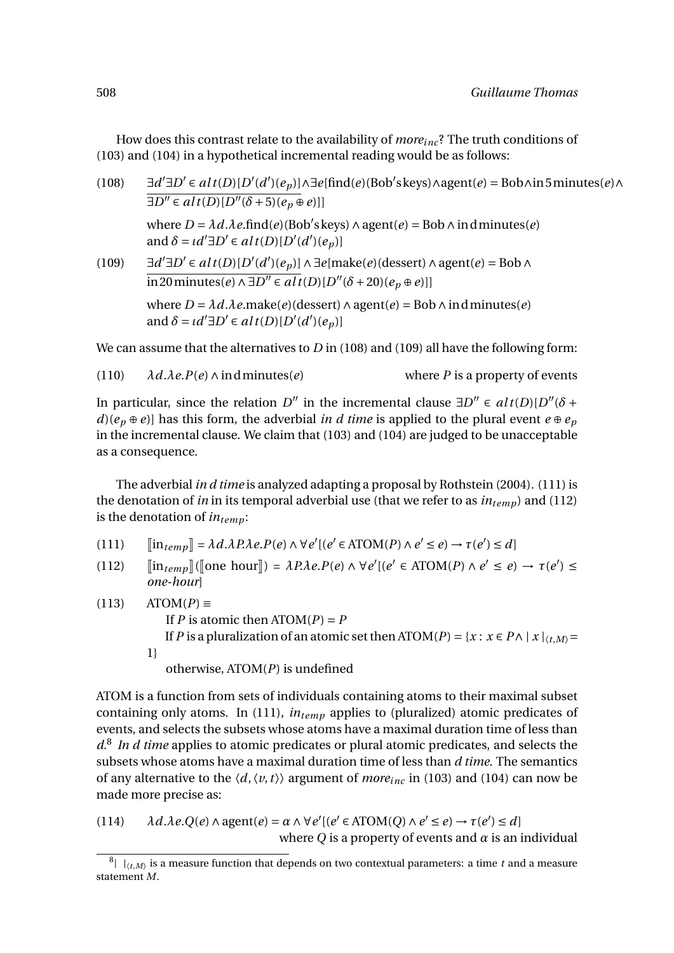How does this contrast relate to the availability of *moreinc* ? The truth conditions of (103) and (104) in a hypothetical incremental reading would be as follows:

| (108) | $\exists d' \exists D' \in alt(D)[D'(d')(e_p)] \wedge \exists e[\text{find}(e)(Bob's keys) \wedge agent(e) = Bob \wedge in 5 minutes(e) \wedge \exists e[\text{find}(e)(Bob's keys) \wedge agent(e)]$<br>$\exists D'' \in alt(D)[D''(\delta+5)(e_p \oplus e)]]$ |
|-------|-----------------------------------------------------------------------------------------------------------------------------------------------------------------------------------------------------------------------------------------------------------------|
|       | where $D = \lambda d \cdot \lambda e$ .find(e)(Bob's keys) $\wedge$ agent(e) = Bob $\wedge$ ind minutes(e)<br>and $\delta = \iota d' \exists D' \in alt(D)[D'(d')(e_p)]$                                                                                        |
| (109) | $\exists d' \exists D' \in alt(D)[D'(d')(e_p)] \land \exists e[\text{make}(e)(\text{desert}) \land \text{agent}(e) = \text{Bob} \land$<br>in 20 minutes(e) $\wedge \exists D'' \in alt(D)[D''(\delta+20)(e_p \oplus e)]]$                                       |
|       | where $D = \lambda d \cdot \lambda e$ .make(e)(dessert) $\wedge$ agent(e) = Bob $\wedge$ in d minutes(e)<br>and $\delta = \iota d' \exists D' \in alt(D)[D'(d')(e_p)]$                                                                                          |
|       |                                                                                                                                                                                                                                                                 |

We can assume that the alternatives to *D* in (108) and (109) all have the following form:

(110)  $\lambda d.\lambda e.P(e) \wedge \text{in d minutes}(e)$  where *P* is a property of events

In particular, since the relation *D*<sup>*n*</sup> in the incremental clause  $\exists D'' \in alt(D)[D''(\delta +$  $d$ )( $e_p \oplus e$ )] has this form, the adverbial *in d time* is applied to the plural event  $e \oplus e_p$ in the incremental clause. We claim that (103) and (104) are judged to be unacceptable as a consequence.

The adverbial *in d time* is analyzed adapting a proposal by Rothstein (2004). (111) is the denotation of *in* in its temporal adverbial use (that we refer to as  $in_{temp}$ ) and (112) is the denotation of *intemp*:

(111)  $[\![\text{in}_{temp}]\!] = \lambda d.\lambda P.\lambda e. P(e) \land \forall e'[(e' \in \text{ATOM}(P) \land e' \le e) \rightarrow \tau(e') \le d]$ 

(112)  $[\![\text{in}_{temp}]\!]([\![\text{one hour}]\!]) = \lambda P \lambda e P(e) \wedge \forall e' [ (e' \in \text{ATOM}(P) \wedge e' \le e) \rightarrow \tau(e') \le \text{one hour} ]$ *one-hour*]

 $(113)$  ATOM $(P) \equiv$ If *P* is atomic then  $ATOM(P) = P$ If *P* is a pluralization of an atomic set then ATOM(*P*) = { $x : x \in P \land |x|_{\langle t,M \rangle}$  = 1} otherwise, ATOM(*P*) is undefined

ATOM is a function from sets of individuals containing atoms to their maximal subset containing only atoms. In (111), *intemp* applies to (pluralized) atomic predicates of events, and selects the subsets whose atoms have a maximal duration time of less than *d*. 8 *In d time* applies to atomic predicates or plural atomic predicates, and selects the subsets whose atoms have a maximal duration time of less than *d time*. The semantics of any alternative to the  $\langle d, \langle v, t \rangle \rangle$  argument of *more*<sub>inc</sub> in (103) and (104) can now be made more precise as:

(114)  $\lambda d.\lambda e.Q(e) \wedge agent(e) = \alpha \wedge \forall e' [(e' \in ATOM(Q) \wedge e' \le e) \rightarrow \tau(e') \le d]$ where *Q* is a property of events and  $\alpha$  is an individual

 $^8$   $\mid$   $\mid_{\langle t,M \rangle}$  is a measure function that depends on two contextual parameters: a time  $t$  and a measure statement *M*.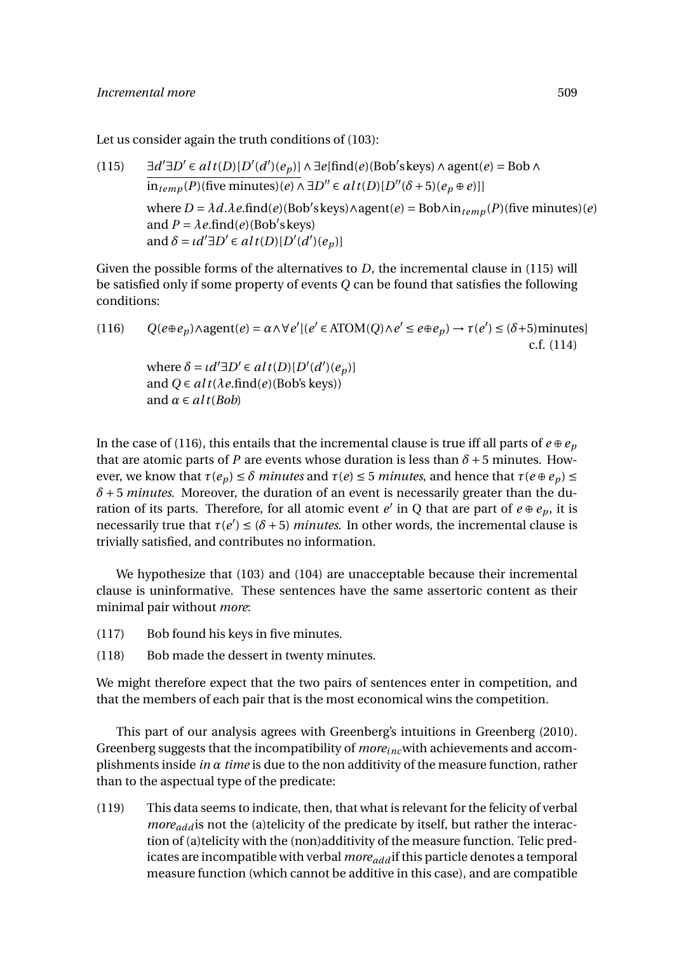Let us consider again the truth conditions of (103):

 $(115)$  $\forall \exists D' \in alt(D)[D'(d')(e_p)] \land \exists e[\text{find}(e)(Bob'skeys) \land agent(e) = Bob \land$  $\overline{\text{in}_{temp}(P)}$ (five minutes)(*e*) ∧ ∃*D*<sup>*n*</sup> ∈ *alt*(*D*)[*D<sup>'<i>r*</sup>( $\delta$  + 5)(*e<sub>p</sub>* ⊕ *e*)]]  $\text{where } D = \lambda d.\lambda e.\text{find}(e) \text{(Bob's keys)} \land \text{agent}(e) = \text{Bob} \land \text{in}_{temp}(P) \text{(five minutes)}(e)$ and  $P = \lambda e$ .find(*e*)(Bob's keys) and  $\delta = \iota d' \exists D' \in alt(D)[D'(d')(e_p)]$ 

Given the possible forms of the alternatives to *D*, the incremental clause in (115) will be satisfied only if some property of events *Q* can be found that satisfies the following conditions:

(116)  $Q(e \oplus e_p) \land \text{agent}(e) = \alpha \land \forall e' [(e' \in \text{ATOM}(Q) \land e' \leq e \oplus e_p) \rightarrow \tau(e') \leq (\delta + 5) \text{minutes}]$ c.f. (114)

where  $\delta = \iota d' \exists D' \in alt(D)[D'(d')(e_p)]$ and  $Q \in alt(\lambda e.\text{find}(e)(Bob's keys))$ and  $\alpha \in alt(Bob)$ 

In the case of (116), this entails that the incremental clause is true iff all parts of  $e \oplus e_p$ that are atomic parts of *P* are events whose duration is less than  $\delta$  + 5 minutes. However, we know that *τ*(*e<sub>p</sub>*) ≤ *δ minutes* and *τ*(*e*) ≤ 5 *minutes*, and hence that *τ*(*e* ⊕ *e<sub>p</sub>*) ≤ *δ* + 5 *minutes*. Moreover, the duration of an event is necessarily greater than the duration of its parts. Therefore, for all atomic event *e'* in Q that are part of  $e \oplus e_p$ , it is necessarily true that  $\tau(e') \leq (\delta + 5)$  *minutes*. In other words, the incremental clause is trivially satisfied, and contributes no information.

We hypothesize that (103) and (104) are unacceptable because their incremental clause is uninformative. These sentences have the same assertoric content as their minimal pair without *more*:

- (117) Bob found his keys in five minutes.
- (118) Bob made the dessert in twenty minutes.

We might therefore expect that the two pairs of sentences enter in competition, and that the members of each pair that is the most economical wins the competition.

This part of our analysis agrees with Greenberg's intuitions in Greenberg (2010). Greenberg suggests that the incompatibility of *moreinc*with achievements and accomplishments inside *in α time* is due to the non additivity of the measure function, rather than to the aspectual type of the predicate:

(119) This data seems to indicate, then, that what is relevant for the felicity of verbal *more*<sub>add</sub> is not the (a)telicity of the predicate by itself, but rather the interaction of (a)telicity with the (non)additivity of the measure function. Telic predicates are incompatible with verbal *moreadd* if this particle denotes a temporal measure function (which cannot be additive in this case), and are compatible